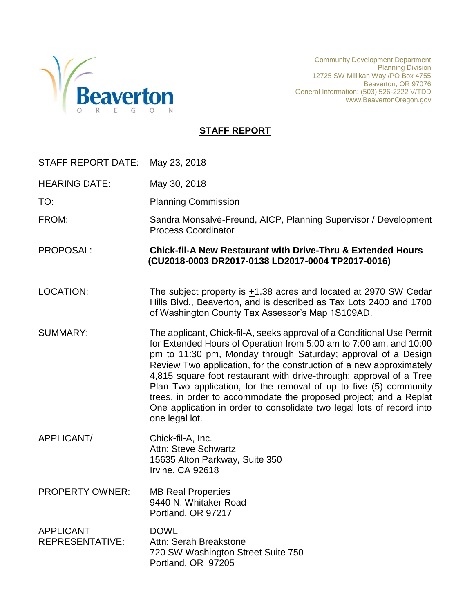

Community Development Department Planning Division 12725 SW Millikan Way /PO Box 4755 Beaverton, OR 97076 General Information: (503) 526-2222 V/TDD www.BeavertonOregon.gov

### **STAFF REPORT**

| STAFF REPORT DATE:                         | May 23, 2018                                                                                                                                                                                                                                                                                                                                                                                                                                                                                                                                                                                     |
|--------------------------------------------|--------------------------------------------------------------------------------------------------------------------------------------------------------------------------------------------------------------------------------------------------------------------------------------------------------------------------------------------------------------------------------------------------------------------------------------------------------------------------------------------------------------------------------------------------------------------------------------------------|
| <b>HEARING DATE:</b>                       | May 30, 2018                                                                                                                                                                                                                                                                                                                                                                                                                                                                                                                                                                                     |
| TO:                                        | <b>Planning Commission</b>                                                                                                                                                                                                                                                                                                                                                                                                                                                                                                                                                                       |
| FROM:                                      | Sandra Monsalvè-Freund, AICP, Planning Supervisor / Development<br><b>Process Coordinator</b>                                                                                                                                                                                                                                                                                                                                                                                                                                                                                                    |
| PROPOSAL:                                  | <b>Chick-fil-A New Restaurant with Drive-Thru &amp; Extended Hours</b><br>(CU2018-0003 DR2017-0138 LD2017-0004 TP2017-0016)                                                                                                                                                                                                                                                                                                                                                                                                                                                                      |
| <b>LOCATION:</b>                           | The subject property is $\pm$ 1.38 acres and located at 2970 SW Cedar<br>Hills Blvd., Beaverton, and is described as Tax Lots 2400 and 1700<br>of Washington County Tax Assessor's Map 1S109AD.                                                                                                                                                                                                                                                                                                                                                                                                  |
| <b>SUMMARY:</b>                            | The applicant, Chick-fil-A, seeks approval of a Conditional Use Permit<br>for Extended Hours of Operation from 5:00 am to 7:00 am, and 10:00<br>pm to 11:30 pm, Monday through Saturday; approval of a Design<br>Review Two application, for the construction of a new approximately<br>4,815 square foot restaurant with drive-through; approval of a Tree<br>Plan Two application, for the removal of up to five (5) community<br>trees, in order to accommodate the proposed project; and a Replat<br>One application in order to consolidate two legal lots of record into<br>one legal lot. |
| APPLICANT/                                 | Chick-fil-A, Inc.<br><b>Attn: Steve Schwartz</b><br>15635 Alton Parkway, Suite 350<br>Irvine, CA 92618                                                                                                                                                                                                                                                                                                                                                                                                                                                                                           |
| <b>PROPERTY OWNER:</b>                     | <b>MB Real Properties</b><br>9440 N. Whitaker Road<br>Portland, OR 97217                                                                                                                                                                                                                                                                                                                                                                                                                                                                                                                         |
| <b>APPLICANT</b><br><b>REPRESENTATIVE:</b> | <b>DOWL</b><br>Attn: Serah Breakstone<br>720 SW Washington Street Suite 750<br>Portland, OR 97205                                                                                                                                                                                                                                                                                                                                                                                                                                                                                                |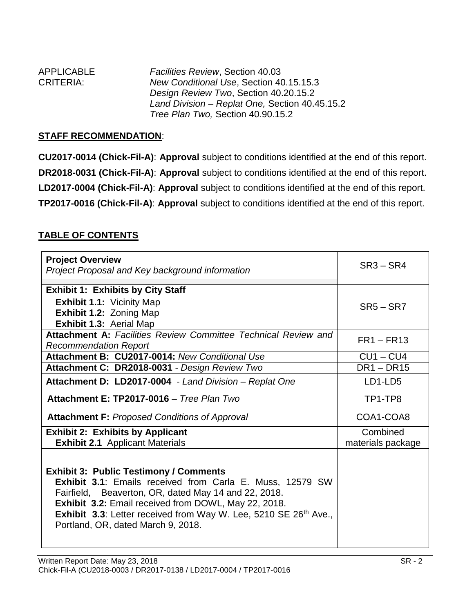| <b>APPLICABLE</b> | <b>Facilities Review, Section 40.03</b>        |
|-------------------|------------------------------------------------|
| <b>CRITERIA:</b>  | New Conditional Use, Section 40.15.15.3        |
|                   | Design Review Two, Section 40.20.15.2          |
|                   | Land Division - Replat One, Section 40.45.15.2 |
|                   | Tree Plan Two, Section 40.90.15.2              |

#### **STAFF RECOMMENDATION**:

**CU2017-0014 (Chick-Fil-A)**: **Approval** subject to conditions identified at the end of this report. **DR2018-0031 (Chick-Fil-A)**: **Approval** subject to conditions identified at the end of this report. **LD2017-0004 (Chick-Fil-A)**: **Approval** subject to conditions identified at the end of this report. **TP2017-0016 (Chick-Fil-A)**: **Approval** subject to conditions identified at the end of this report.

### **TABLE OF CONTENTS**

| <b>Project Overview</b><br>Project Proposal and Key background information                                                                                                                                                                                                                                                                                     | $SR3 - SR4$                   |
|----------------------------------------------------------------------------------------------------------------------------------------------------------------------------------------------------------------------------------------------------------------------------------------------------------------------------------------------------------------|-------------------------------|
| <b>Exhibit 1: Exhibits by City Staff</b>                                                                                                                                                                                                                                                                                                                       |                               |
| <b>Exhibit 1.1: Vicinity Map</b><br><b>Exhibit 1.2: Zoning Map</b><br><b>Exhibit 1.3: Aerial Map</b>                                                                                                                                                                                                                                                           | $SR5 - SR7$                   |
| <b>Attachment A: Facilities Review Committee Technical Review and</b><br><b>Recommendation Report</b>                                                                                                                                                                                                                                                          | $FR1 - FR13$                  |
| Attachment B: CU2017-0014: New Conditional Use                                                                                                                                                                                                                                                                                                                 | $CU1 - CU4$                   |
| Attachment C: DR2018-0031 - Design Review Two                                                                                                                                                                                                                                                                                                                  | $DR1 - DR15$                  |
| Attachment D: LD2017-0004 - Land Division - Replat One                                                                                                                                                                                                                                                                                                         | LD1-LD5                       |
| Attachment E: TP2017-0016 - Tree Plan Two                                                                                                                                                                                                                                                                                                                      | TP1-TP8                       |
| <b>Attachment F: Proposed Conditions of Approval</b>                                                                                                                                                                                                                                                                                                           | COA1-COA8                     |
| <b>Exhibit 2: Exhibits by Applicant</b><br><b>Exhibit 2.1</b> Applicant Materials                                                                                                                                                                                                                                                                              | Combined<br>materials package |
| <b>Exhibit 3: Public Testimony / Comments</b><br><b>Exhibit 3.1:</b> Emails received from Carla E. Muss, 12579 SW<br>Fairfield, Beaverton, OR, dated May 14 and 22, 2018.<br>Exhibit 3.2: Email received from DOWL, May 22, 2018.<br><b>Exhibit 3.3:</b> Letter received from Way W. Lee, 5210 SE 26 <sup>th</sup> Ave.,<br>Portland, OR, dated March 9, 2018. |                               |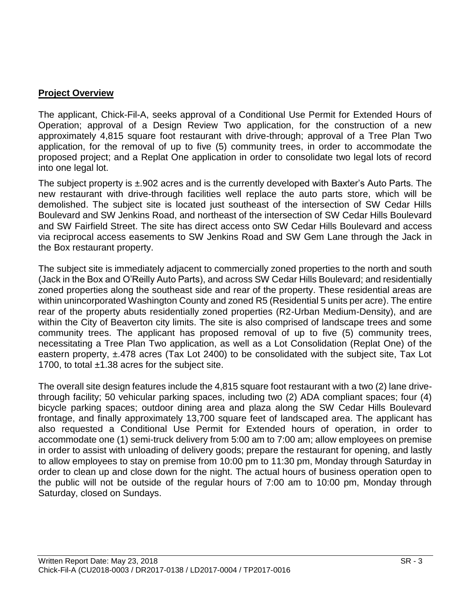#### **Project Overview**

The applicant, Chick-Fil-A, seeks approval of a Conditional Use Permit for Extended Hours of Operation; approval of a Design Review Two application, for the construction of a new approximately 4,815 square foot restaurant with drive-through; approval of a Tree Plan Two application, for the removal of up to five (5) community trees, in order to accommodate the proposed project; and a Replat One application in order to consolidate two legal lots of record into one legal lot.

The subject property is ±.902 acres and is the currently developed with Baxter's Auto Parts. The new restaurant with drive-through facilities well replace the auto parts store, which will be demolished. The subject site is located just southeast of the intersection of SW Cedar Hills Boulevard and SW Jenkins Road, and northeast of the intersection of SW Cedar Hills Boulevard and SW Fairfield Street. The site has direct access onto SW Cedar Hills Boulevard and access via reciprocal access easements to SW Jenkins Road and SW Gem Lane through the Jack in the Box restaurant property.

The subject site is immediately adjacent to commercially zoned properties to the north and south (Jack in the Box and O'Reilly Auto Parts), and across SW Cedar Hills Boulevard; and residentially zoned properties along the southeast side and rear of the property. These residential areas are within unincorporated Washington County and zoned R5 (Residential 5 units per acre). The entire rear of the property abuts residentially zoned properties (R2-Urban Medium-Density), and are within the City of Beaverton city limits. The site is also comprised of landscape trees and some community trees. The applicant has proposed removal of up to five (5) community trees, necessitating a Tree Plan Two application, as well as a Lot Consolidation (Replat One) of the eastern property, ±.478 acres (Tax Lot 2400) to be consolidated with the subject site, Tax Lot 1700, to total  $\pm 1.38$  acres for the subject site.

The overall site design features include the 4,815 square foot restaurant with a two (2) lane drivethrough facility; 50 vehicular parking spaces, including two (2) ADA compliant spaces; four (4) bicycle parking spaces; outdoor dining area and plaza along the SW Cedar Hills Boulevard frontage, and finally approximately 13,700 square feet of landscaped area. The applicant has also requested a Conditional Use Permit for Extended hours of operation, in order to accommodate one (1) semi-truck delivery from 5:00 am to 7:00 am; allow employees on premise in order to assist with unloading of delivery goods; prepare the restaurant for opening, and lastly to allow employees to stay on premise from 10:00 pm to 11:30 pm, Monday through Saturday in order to clean up and close down for the night. The actual hours of business operation open to the public will not be outside of the regular hours of 7:00 am to 10:00 pm, Monday through Saturday, closed on Sundays.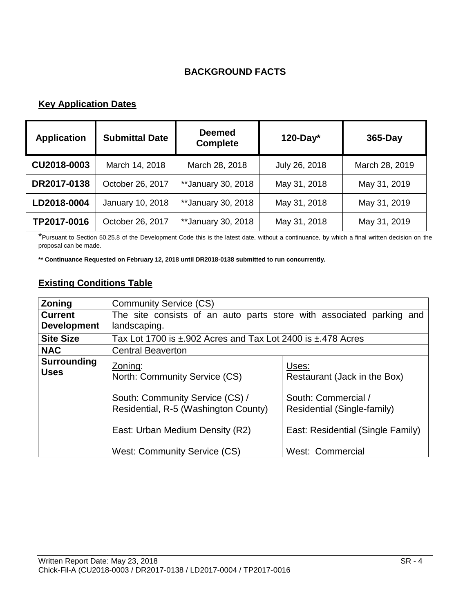### **BACKGROUND FACTS**

# **Key Application Dates**

| <b>Application</b> | <b>Submittal Date</b> | <b>Deemed</b><br><b>Complete</b> | $120$ -Day*   | 365-Day        |
|--------------------|-----------------------|----------------------------------|---------------|----------------|
| CU2018-0003        | March 14, 2018        | March 28, 2018                   | July 26, 2018 | March 28, 2019 |
| DR2017-0138        | October 26, 2017      | ** January 30, 2018              | May 31, 2018  | May 31, 2019   |
| LD2018-0004        | January 10, 2018      | **January 30, 2018               | May 31, 2018  | May 31, 2019   |
| TP2017-0016        | October 26, 2017      | **January 30, 2018               | May 31, 2018  | May 31, 2019   |

\*Pursuant to Section 50.25.8 of the Development Code this is the latest date, without a continuance, by which a final written decision on the proposal can be made.

**\*\* Continuance Requested on February 12, 2018 until DR2018-0138 submitted to run concurrently.**

### **Existing Conditions Table**

| Zoning                                                                                                     | <b>Community Service (CS)</b>                                        |                                                                                         |  |  |  |
|------------------------------------------------------------------------------------------------------------|----------------------------------------------------------------------|-----------------------------------------------------------------------------------------|--|--|--|
| <b>Current</b>                                                                                             | The site consists of an auto parts store with associated parking and |                                                                                         |  |  |  |
| <b>Development</b>                                                                                         | landscaping.                                                         |                                                                                         |  |  |  |
| <b>Site Size</b>                                                                                           | Tax Lot 1700 is ±.902 Acres and Tax Lot 2400 is ±.478 Acres          |                                                                                         |  |  |  |
| <b>NAC</b>                                                                                                 | <b>Central Beaverton</b>                                             |                                                                                         |  |  |  |
| <b>Surrounding</b><br><b>Uses</b>                                                                          | Zoning:<br>North: Community Service (CS)                             | Uses:<br>Restaurant (Jack in the Box)                                                   |  |  |  |
| South: Community Service (CS) /<br>Residential, R-5 (Washington County)<br>East: Urban Medium Density (R2) |                                                                      | South: Commercial /<br>Residential (Single-family)<br>East: Residential (Single Family) |  |  |  |
|                                                                                                            | West: Community Service (CS)<br>West: Commercial                     |                                                                                         |  |  |  |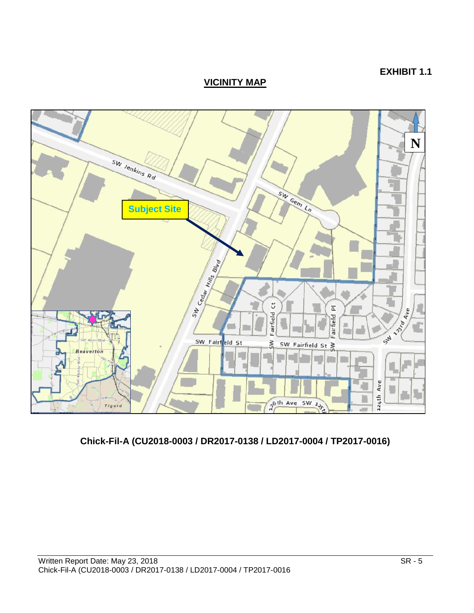## **EXHIBIT 1.1**

**VICINITY MAP**



# **Chick-Fil-A (CU2018-0003 / DR2017-0138 / LD2017-0004 / TP2017-0016)**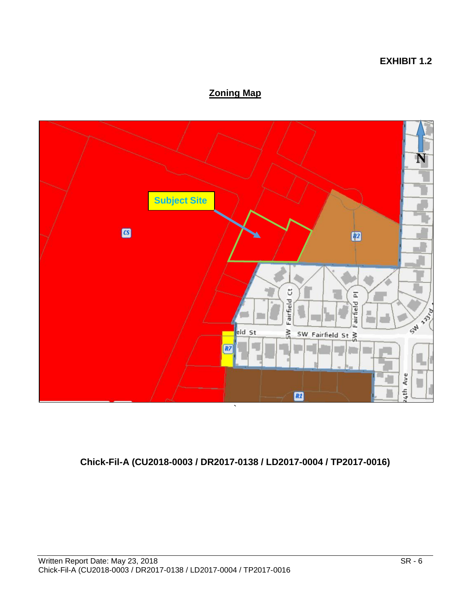#### **EXHIBIT 1.2**

# **Zoning Map**



# **Chick-Fil-A (CU2018-0003 / DR2017-0138 / LD2017-0004 / TP2017-0016)**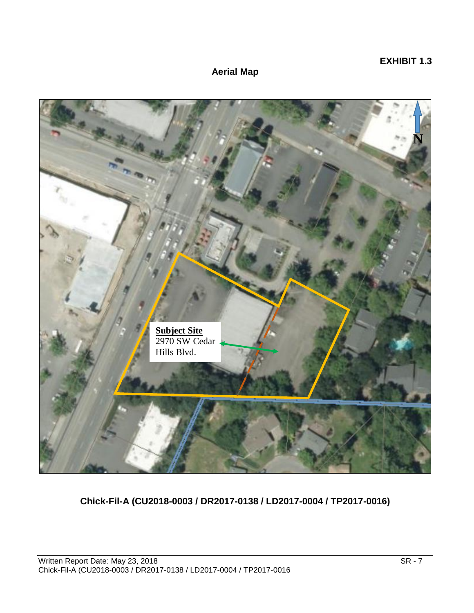### **EXHIBIT 1.3**

### **Aerial Map**



**Chick-Fil-A (CU2018-0003 / DR2017-0138 / LD2017-0004 / TP2017-0016)**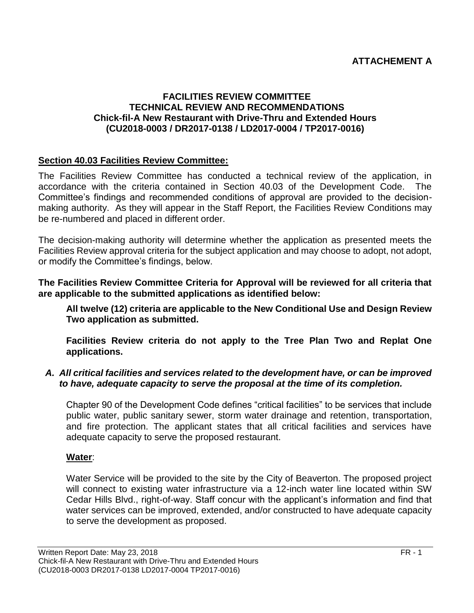### **ATTACHEMENT A**

#### **FACILITIES REVIEW COMMITTEE TECHNICAL REVIEW AND RECOMMENDATIONS Chick-fil-A New Restaurant with Drive-Thru and Extended Hours (CU2018-0003 / DR2017-0138 / LD2017-0004 / TP2017-0016)**

#### **Section 40.03 Facilities Review Committee:**

The Facilities Review Committee has conducted a technical review of the application, in accordance with the criteria contained in Section 40.03 of the Development Code. The Committee's findings and recommended conditions of approval are provided to the decisionmaking authority. As they will appear in the Staff Report, the Facilities Review Conditions may be re-numbered and placed in different order.

The decision-making authority will determine whether the application as presented meets the Facilities Review approval criteria for the subject application and may choose to adopt, not adopt, or modify the Committee's findings, below.

**The Facilities Review Committee Criteria for Approval will be reviewed for all criteria that are applicable to the submitted applications as identified below:**

**All twelve (12) criteria are applicable to the New Conditional Use and Design Review Two application as submitted.**

**Facilities Review criteria do not apply to the Tree Plan Two and Replat One applications.**

#### *A. All critical facilities and services related to the development have, or can be improved to have, adequate capacity to serve the proposal at the time of its completion.*

Chapter 90 of the Development Code defines "critical facilities" to be services that include public water, public sanitary sewer, storm water drainage and retention, transportation, and fire protection. The applicant states that all critical facilities and services have adequate capacity to serve the proposed restaurant.

#### **Water**:

Water Service will be provided to the site by the City of Beaverton. The proposed project will connect to existing water infrastructure via a 12-inch water line located within SW Cedar Hills Blvd., right-of-way. Staff concur with the applicant's information and find that water services can be improved, extended, and/or constructed to have adequate capacity to serve the development as proposed.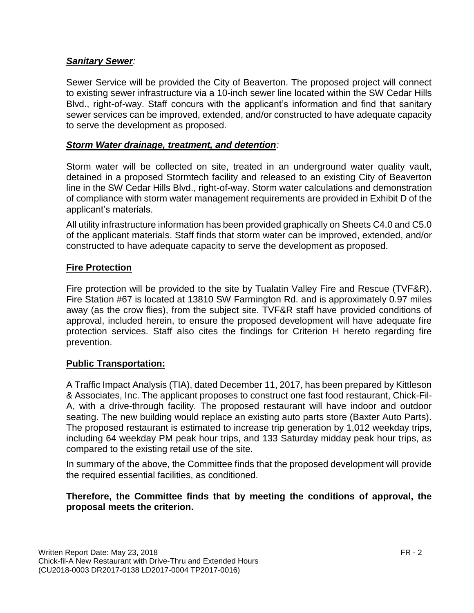### *Sanitary Sewer:*

Sewer Service will be provided the City of Beaverton. The proposed project will connect to existing sewer infrastructure via a 10-inch sewer line located within the SW Cedar Hills Blvd., right-of-way. Staff concurs with the applicant's information and find that sanitary sewer services can be improved, extended, and/or constructed to have adequate capacity to serve the development as proposed.

### *Storm Water drainage, treatment, and detention:*

Storm water will be collected on site, treated in an underground water quality vault, detained in a proposed Stormtech facility and released to an existing City of Beaverton line in the SW Cedar Hills Blvd., right-of-way. Storm water calculations and demonstration of compliance with storm water management requirements are provided in Exhibit D of the applicant's materials.

All utility infrastructure information has been provided graphically on Sheets C4.0 and C5.0 of the applicant materials. Staff finds that storm water can be improved, extended, and/or constructed to have adequate capacity to serve the development as proposed.

### **Fire Protection**

Fire protection will be provided to the site by Tualatin Valley Fire and Rescue (TVF&R). Fire Station #67 is located at 13810 SW Farmington Rd. and is approximately 0.97 miles away (as the crow flies), from the subject site. TVF&R staff have provided conditions of approval, included herein, to ensure the proposed development will have adequate fire protection services. Staff also cites the findings for Criterion H hereto regarding fire prevention.

### **Public Transportation:**

A Traffic Impact Analysis (TIA), dated December 11, 2017, has been prepared by Kittleson & Associates, Inc. The applicant proposes to construct one fast food restaurant, Chick-Fil-A, with a drive-through facility. The proposed restaurant will have indoor and outdoor seating. The new building would replace an existing auto parts store (Baxter Auto Parts). The proposed restaurant is estimated to increase trip generation by 1,012 weekday trips, including 64 weekday PM peak hour trips, and 133 Saturday midday peak hour trips, as compared to the existing retail use of the site.

In summary of the above, the Committee finds that the proposed development will provide the required essential facilities, as conditioned.

### **Therefore, the Committee finds that by meeting the conditions of approval, the proposal meets the criterion.**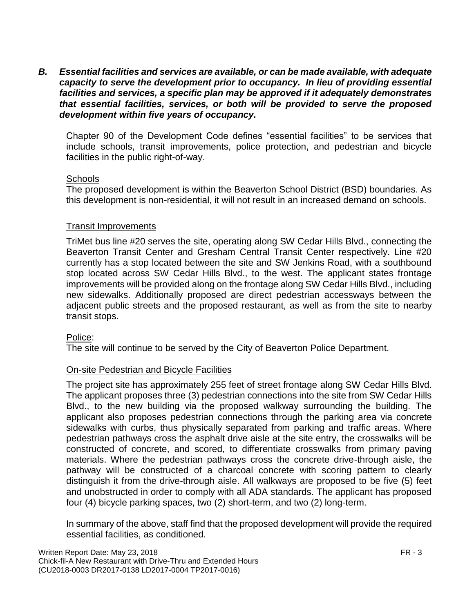*B. Essential facilities and services are available, or can be made available, with adequate capacity to serve the development prior to occupancy. In lieu of providing essential facilities and services, a specific plan may be approved if it adequately demonstrates that essential facilities, services, or both will be provided to serve the proposed development within five years of occupancy.*

Chapter 90 of the Development Code defines "essential facilities" to be services that include schools, transit improvements, police protection, and pedestrian and bicycle facilities in the public right-of-way.

### **Schools**

The proposed development is within the Beaverton School District (BSD) boundaries. As this development is non-residential, it will not result in an increased demand on schools.

### Transit Improvements

TriMet bus line #20 serves the site, operating along SW Cedar Hills Blvd., connecting the Beaverton Transit Center and Gresham Central Transit Center respectively. Line #20 currently has a stop located between the site and SW Jenkins Road, with a southbound stop located across SW Cedar Hills Blvd., to the west. The applicant states frontage improvements will be provided along on the frontage along SW Cedar Hills Blvd., including new sidewalks. Additionally proposed are direct pedestrian accessways between the adjacent public streets and the proposed restaurant, as well as from the site to nearby transit stops.

### Police:

The site will continue to be served by the City of Beaverton Police Department.

### On-site Pedestrian and Bicycle Facilities

The project site has approximately 255 feet of street frontage along SW Cedar Hills Blvd. The applicant proposes three (3) pedestrian connections into the site from SW Cedar Hills Blvd., to the new building via the proposed walkway surrounding the building. The applicant also proposes pedestrian connections through the parking area via concrete sidewalks with curbs, thus physically separated from parking and traffic areas. Where pedestrian pathways cross the asphalt drive aisle at the site entry, the crosswalks will be constructed of concrete, and scored, to differentiate crosswalks from primary paving materials. Where the pedestrian pathways cross the concrete drive-through aisle, the pathway will be constructed of a charcoal concrete with scoring pattern to clearly distinguish it from the drive-through aisle. All walkways are proposed to be five (5) feet and unobstructed in order to comply with all ADA standards. The applicant has proposed four (4) bicycle parking spaces, two (2) short-term, and two (2) long-term.

In summary of the above, staff find that the proposed development will provide the required essential facilities, as conditioned.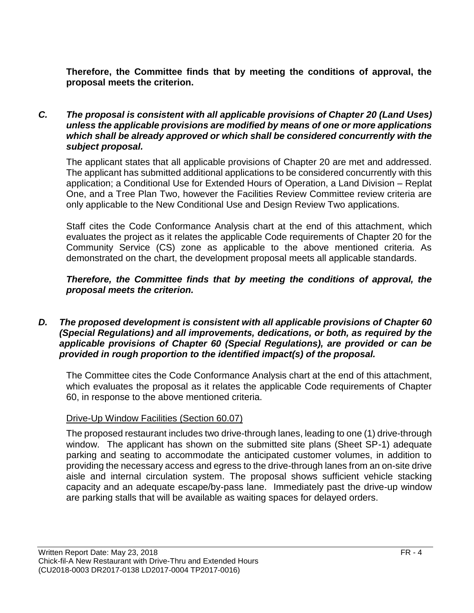**Therefore, the Committee finds that by meeting the conditions of approval, the proposal meets the criterion.**

#### *C. The proposal is consistent with all applicable provisions of Chapter 20 (Land Uses) unless the applicable provisions are modified by means of one or more applications which shall be already approved or which shall be considered concurrently with the subject proposal.*

The applicant states that all applicable provisions of Chapter 20 are met and addressed. The applicant has submitted additional applications to be considered concurrently with this application; a Conditional Use for Extended Hours of Operation, a Land Division – Replat One, and a Tree Plan Two, however the Facilities Review Committee review criteria are only applicable to the New Conditional Use and Design Review Two applications.

Staff cites the Code Conformance Analysis chart at the end of this attachment, which evaluates the project as it relates the applicable Code requirements of Chapter 20 for the Community Service (CS) zone as applicable to the above mentioned criteria. As demonstrated on the chart, the development proposal meets all applicable standards.

### *Therefore, the Committee finds that by meeting the conditions of approval, the proposal meets the criterion.*

#### *D. The proposed development is consistent with all applicable provisions of Chapter 60 (Special Regulations) and all improvements, dedications, or both, as required by the applicable provisions of Chapter 60 (Special Regulations), are provided or can be provided in rough proportion to the identified impact(s) of the proposal.*

The Committee cites the Code Conformance Analysis chart at the end of this attachment, which evaluates the proposal as it relates the applicable Code requirements of Chapter 60, in response to the above mentioned criteria.

### Drive-Up Window Facilities (Section 60.07)

The proposed restaurant includes two drive-through lanes, leading to one (1) drive-through window. The applicant has shown on the submitted site plans (Sheet SP-1) adequate parking and seating to accommodate the anticipated customer volumes, in addition to providing the necessary access and egress to the drive-through lanes from an on-site drive aisle and internal circulation system. The proposal shows sufficient vehicle stacking capacity and an adequate escape/by-pass lane. Immediately past the drive-up window are parking stalls that will be available as waiting spaces for delayed orders.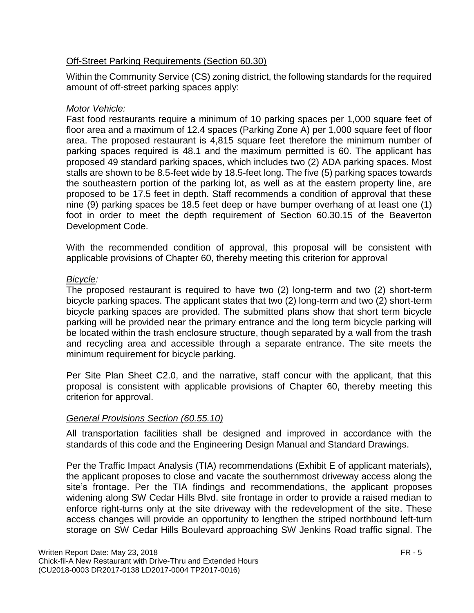## Off-Street Parking Requirements (Section 60.30)

Within the Community Service (CS) zoning district, the following standards for the required amount of off-street parking spaces apply:

# *Motor Vehicle:*

Fast food restaurants require a minimum of 10 parking spaces per 1,000 square feet of floor area and a maximum of 12.4 spaces (Parking Zone A) per 1,000 square feet of floor area. The proposed restaurant is 4,815 square feet therefore the minimum number of parking spaces required is 48.1 and the maximum permitted is 60. The applicant has proposed 49 standard parking spaces, which includes two (2) ADA parking spaces. Most stalls are shown to be 8.5-feet wide by 18.5-feet long. The five (5) parking spaces towards the southeastern portion of the parking lot, as well as at the eastern property line, are proposed to be 17.5 feet in depth. Staff recommends a condition of approval that these nine (9) parking spaces be 18.5 feet deep or have bumper overhang of at least one (1) foot in order to meet the depth requirement of Section 60.30.15 of the Beaverton Development Code.

With the recommended condition of approval, this proposal will be consistent with applicable provisions of Chapter 60, thereby meeting this criterion for approval

# *Bicycle:*

The proposed restaurant is required to have two (2) long-term and two (2) short-term bicycle parking spaces. The applicant states that two (2) long-term and two (2) short-term bicycle parking spaces are provided. The submitted plans show that short term bicycle parking will be provided near the primary entrance and the long term bicycle parking will be located within the trash enclosure structure, though separated by a wall from the trash and recycling area and accessible through a separate entrance. The site meets the minimum requirement for bicycle parking.

Per Site Plan Sheet C2.0, and the narrative, staff concur with the applicant, that this proposal is consistent with applicable provisions of Chapter 60, thereby meeting this criterion for approval.

# *General Provisions Section (60.55.10)*

All transportation facilities shall be designed and improved in accordance with the standards of this code and the Engineering Design Manual and Standard Drawings.

Per the Traffic Impact Analysis (TIA) recommendations (Exhibit E of applicant materials), the applicant proposes to close and vacate the southernmost driveway access along the site's frontage. Per the TIA findings and recommendations, the applicant proposes widening along SW Cedar Hills Blvd. site frontage in order to provide a raised median to enforce right-turns only at the site driveway with the redevelopment of the site. These access changes will provide an opportunity to lengthen the striped northbound left-turn storage on SW Cedar Hills Boulevard approaching SW Jenkins Road traffic signal. The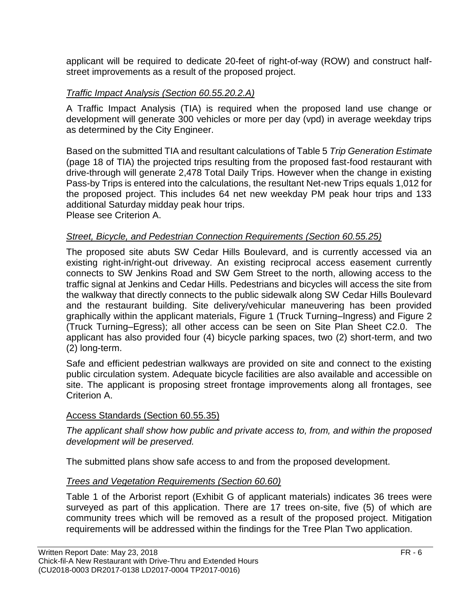applicant will be required to dedicate 20-feet of right-of-way (ROW) and construct halfstreet improvements as a result of the proposed project.

### *Traffic Impact Analysis (Section 60.55.20.2.A)*

A Traffic Impact Analysis (TIA) is required when the proposed land use change or development will generate 300 vehicles or more per day (vpd) in average weekday trips as determined by the City Engineer.

Based on the submitted TIA and resultant calculations of Table 5 *Trip Generation Estimate* (page 18 of TIA) the projected trips resulting from the proposed fast-food restaurant with drive-through will generate 2,478 Total Daily Trips. However when the change in existing Pass-by Trips is entered into the calculations, the resultant Net-new Trips equals 1,012 for the proposed project. This includes 64 net new weekday PM peak hour trips and 133 additional Saturday midday peak hour trips. Please see Criterion A.

### *Street, Bicycle, and Pedestrian Connection Requirements (Section 60.55.25)*

The proposed site abuts SW Cedar Hills Boulevard, and is currently accessed via an existing right-in/right-out driveway. An existing reciprocal access easement currently connects to SW Jenkins Road and SW Gem Street to the north, allowing access to the traffic signal at Jenkins and Cedar Hills. Pedestrians and bicycles will access the site from the walkway that directly connects to the public sidewalk along SW Cedar Hills Boulevard and the restaurant building. Site delivery/vehicular maneuvering has been provided graphically within the applicant materials, Figure 1 (Truck Turning–Ingress) and Figure 2 (Truck Turning–Egress); all other access can be seen on Site Plan Sheet C2.0. The applicant has also provided four (4) bicycle parking spaces, two (2) short-term, and two (2) long-term.

Safe and efficient pedestrian walkways are provided on site and connect to the existing public circulation system. Adequate bicycle facilities are also available and accessible on site. The applicant is proposing street frontage improvements along all frontages, see Criterion A.

### Access Standards (Section 60.55.35)

*The applicant shall show how public and private access to, from, and within the proposed development will be preserved.*

The submitted plans show safe access to and from the proposed development.

### *Trees and Vegetation Requirements (Section 60.60)*

Table 1 of the Arborist report (Exhibit G of applicant materials) indicates 36 trees were surveyed as part of this application. There are 17 trees on-site, five (5) of which are community trees which will be removed as a result of the proposed project. Mitigation requirements will be addressed within the findings for the Tree Plan Two application.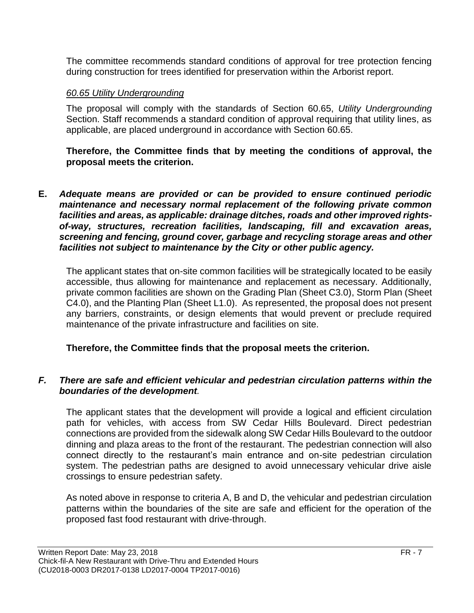The committee recommends standard conditions of approval for tree protection fencing during construction for trees identified for preservation within the Arborist report.

### *60.65 Utility Undergrounding*

The proposal will comply with the standards of Section 60.65, *Utility Undergrounding*  Section. Staff recommends a standard condition of approval requiring that utility lines, as applicable, are placed underground in accordance with Section 60.65.

**Therefore, the Committee finds that by meeting the conditions of approval, the proposal meets the criterion.** 

**E.** *Adequate means are provided or can be provided to ensure continued periodic maintenance and necessary normal replacement of the following private common facilities and areas, as applicable: drainage ditches, roads and other improved rightsof-way, structures, recreation facilities, landscaping, fill and excavation areas, screening and fencing, ground cover, garbage and recycling storage areas and other facilities not subject to maintenance by the City or other public agency.*

The applicant states that on-site common facilities will be strategically located to be easily accessible, thus allowing for maintenance and replacement as necessary. Additionally, private common facilities are shown on the Grading Plan (Sheet C3.0), Storm Plan (Sheet C4.0), and the Planting Plan (Sheet L1.0). As represented, the proposal does not present any barriers, constraints, or design elements that would prevent or preclude required maintenance of the private infrastructure and facilities on site.

### **Therefore, the Committee finds that the proposal meets the criterion.**

### *F. There are safe and efficient vehicular and pedestrian circulation patterns within the boundaries of the development.*

The applicant states that the development will provide a logical and efficient circulation path for vehicles, with access from SW Cedar Hills Boulevard. Direct pedestrian connections are provided from the sidewalk along SW Cedar Hills Boulevard to the outdoor dinning and plaza areas to the front of the restaurant. The pedestrian connection will also connect directly to the restaurant's main entrance and on-site pedestrian circulation system. The pedestrian paths are designed to avoid unnecessary vehicular drive aisle crossings to ensure pedestrian safety.

As noted above in response to criteria A, B and D, the vehicular and pedestrian circulation patterns within the boundaries of the site are safe and efficient for the operation of the proposed fast food restaurant with drive-through.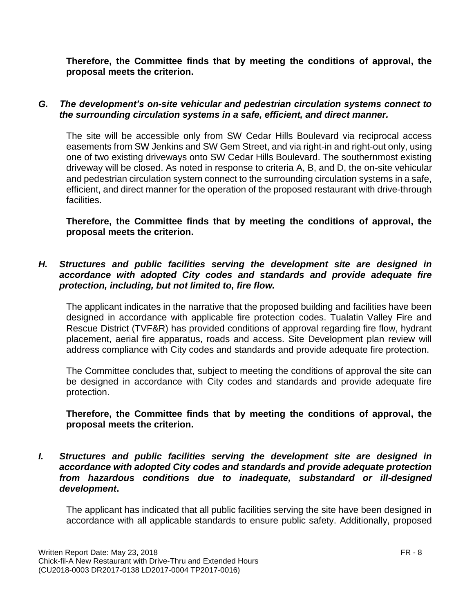**Therefore, the Committee finds that by meeting the conditions of approval, the proposal meets the criterion.** 

### *G. The development's on-site vehicular and pedestrian circulation systems connect to the surrounding circulation systems in a safe, efficient, and direct manner.*

The site will be accessible only from SW Cedar Hills Boulevard via reciprocal access easements from SW Jenkins and SW Gem Street, and via right-in and right-out only, using one of two existing driveways onto SW Cedar Hills Boulevard. The southernmost existing driveway will be closed. As noted in response to criteria A, B, and D, the on-site vehicular and pedestrian circulation system connect to the surrounding circulation systems in a safe, efficient, and direct manner for the operation of the proposed restaurant with drive-through facilities.

**Therefore, the Committee finds that by meeting the conditions of approval, the proposal meets the criterion.** 

#### *H. Structures and public facilities serving the development site are designed in accordance with adopted City codes and standards and provide adequate fire protection, including, but not limited to, fire flow.*

The applicant indicates in the narrative that the proposed building and facilities have been designed in accordance with applicable fire protection codes. Tualatin Valley Fire and Rescue District (TVF&R) has provided conditions of approval regarding fire flow, hydrant placement, aerial fire apparatus, roads and access. Site Development plan review will address compliance with City codes and standards and provide adequate fire protection.

The Committee concludes that, subject to meeting the conditions of approval the site can be designed in accordance with City codes and standards and provide adequate fire protection.

### **Therefore, the Committee finds that by meeting the conditions of approval, the proposal meets the criterion.**

*I. Structures and public facilities serving the development site are designed in accordance with adopted City codes and standards and provide adequate protection from hazardous conditions due to inadequate, substandard or ill-designed development***.**

The applicant has indicated that all public facilities serving the site have been designed in accordance with all applicable standards to ensure public safety. Additionally, proposed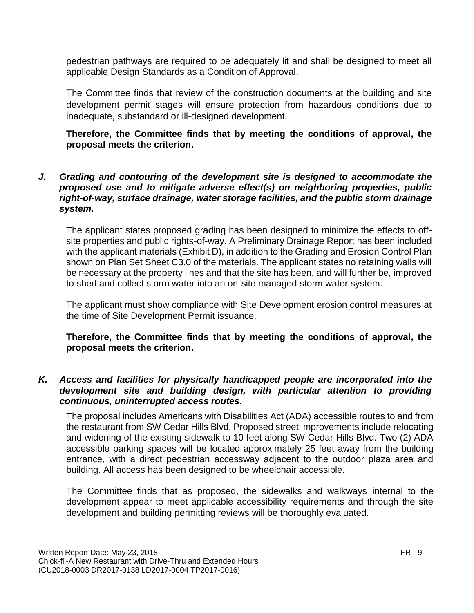pedestrian pathways are required to be adequately lit and shall be designed to meet all applicable Design Standards as a Condition of Approval.

The Committee finds that review of the construction documents at the building and site development permit stages will ensure protection from hazardous conditions due to inadequate, substandard or ill-designed development.

**Therefore, the Committee finds that by meeting the conditions of approval, the proposal meets the criterion.** 

#### *J. Grading and contouring of the development site is designed to accommodate the proposed use and to mitigate adverse effect(s) on neighboring properties, public right-of-way, surface drainage, water storage facilities, and the public storm drainage system.*

The applicant states proposed grading has been designed to minimize the effects to offsite properties and public rights-of-way. A Preliminary Drainage Report has been included with the applicant materials (Exhibit D), in addition to the Grading and Erosion Control Plan shown on Plan Set Sheet C3.0 of the materials. The applicant states no retaining walls will be necessary at the property lines and that the site has been, and will further be, improved to shed and collect storm water into an on-site managed storm water system.

The applicant must show compliance with Site Development erosion control measures at the time of Site Development Permit issuance.

**Therefore, the Committee finds that by meeting the conditions of approval, the proposal meets the criterion.** 

#### *K. Access and facilities for physically handicapped people are incorporated into the development site and building design, with particular attention to providing continuous, uninterrupted access routes.*

The proposal includes Americans with Disabilities Act (ADA) accessible routes to and from the restaurant from SW Cedar Hills Blvd. Proposed street improvements include relocating and widening of the existing sidewalk to 10 feet along SW Cedar Hills Blvd. Two (2) ADA accessible parking spaces will be located approximately 25 feet away from the building entrance, with a direct pedestrian accessway adjacent to the outdoor plaza area and building. All access has been designed to be wheelchair accessible.

The Committee finds that as proposed, the sidewalks and walkways internal to the development appear to meet applicable accessibility requirements and through the site development and building permitting reviews will be thoroughly evaluated.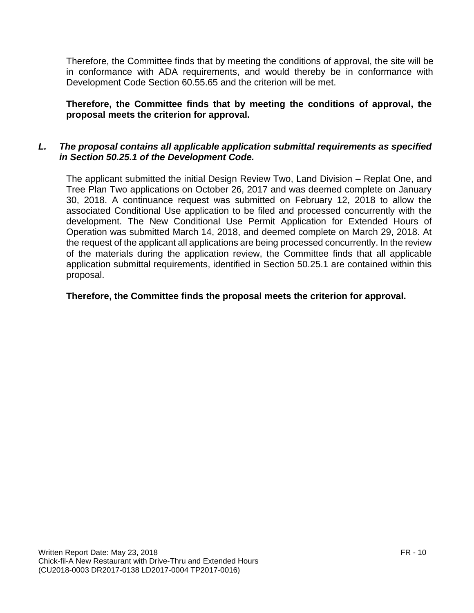Therefore, the Committee finds that by meeting the conditions of approval, the site will be in conformance with ADA requirements, and would thereby be in conformance with Development Code Section 60.55.65 and the criterion will be met.

### **Therefore, the Committee finds that by meeting the conditions of approval, the proposal meets the criterion for approval.**

### *L. The proposal contains all applicable application submittal requirements as specified in Section 50.25.1 of the Development Code.*

The applicant submitted the initial Design Review Two, Land Division – Replat One, and Tree Plan Two applications on October 26, 2017 and was deemed complete on January 30, 2018. A continuance request was submitted on February 12, 2018 to allow the associated Conditional Use application to be filed and processed concurrently with the development. The New Conditional Use Permit Application for Extended Hours of Operation was submitted March 14, 2018, and deemed complete on March 29, 2018. At the request of the applicant all applications are being processed concurrently. In the review of the materials during the application review, the Committee finds that all applicable application submittal requirements, identified in Section 50.25.1 are contained within this proposal.

### **Therefore, the Committee finds the proposal meets the criterion for approval.**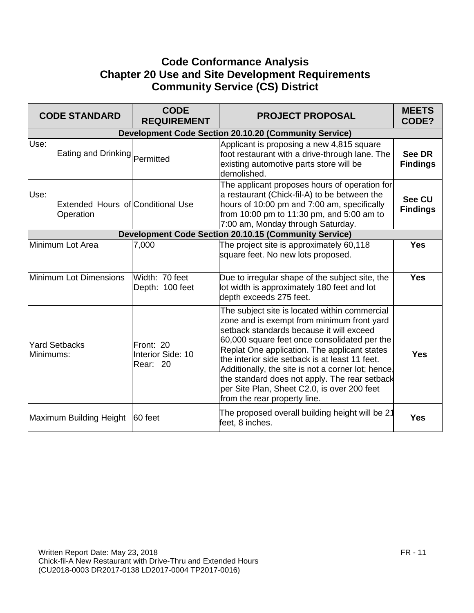# **Code Conformance Analysis Chapter 20 Use and Site Development Requirements Community Service (CS) District**

|           | <b>CODE STANDARD</b>                           | <b>CODE</b><br><b>REQUIREMENT</b>          | <b>PROJECT PROPOSAL</b>                                                                                                                                                                                                                                                                                                                                                                                                                                                         | <b>MEETS</b><br>CODE?            |
|-----------|------------------------------------------------|--------------------------------------------|---------------------------------------------------------------------------------------------------------------------------------------------------------------------------------------------------------------------------------------------------------------------------------------------------------------------------------------------------------------------------------------------------------------------------------------------------------------------------------|----------------------------------|
|           |                                                |                                            | <b>Development Code Section 20.10.20 (Community Service)</b>                                                                                                                                                                                                                                                                                                                                                                                                                    |                                  |
| Use:      | Eating and Drinking Permitted                  |                                            | Applicant is proposing a new 4,815 square<br>foot restaurant with a drive-through lane. The<br>existing automotive parts store will be<br>demolished.                                                                                                                                                                                                                                                                                                                           | See DR<br><b>Findings</b>        |
| Use:      | Extended Hours of Conditional Use<br>Operation |                                            | The applicant proposes hours of operation for<br>a restaurant (Chick-fil-A) to be between the<br>hours of 10:00 pm and 7:00 am, specifically<br>from 10:00 pm to 11:30 pm, and 5:00 am to<br>7:00 am, Monday through Saturday.                                                                                                                                                                                                                                                  | <b>See CU</b><br><b>Findings</b> |
|           |                                                |                                            | <b>Development Code Section 20.10.15 (Community Service)</b>                                                                                                                                                                                                                                                                                                                                                                                                                    |                                  |
|           | Minimum Lot Area                               | 7,000                                      | The project site is approximately 60,118<br>square feet. No new lots proposed.                                                                                                                                                                                                                                                                                                                                                                                                  | <b>Yes</b>                       |
|           | Minimum Lot Dimensions                         | Width: 70 feet<br>Depth: 100 feet          | Due to irregular shape of the subject site, the<br>lot width is approximately 180 feet and lot<br>depth exceeds 275 feet.                                                                                                                                                                                                                                                                                                                                                       | <b>Yes</b>                       |
| Minimums: | <b>Yard Setbacks</b>                           | Front: 20<br>Interior Side: 10<br>Rear: 20 | The subject site is located within commercial<br>zone and is exempt from minimum front yard<br>setback standards because it will exceed<br>60,000 square feet once consolidated per the<br>Replat One application. The applicant states<br>the interior side setback is at least 11 feet.<br>Additionally, the site is not a corner lot; hence,<br>the standard does not apply. The rear setback<br>per Site Plan, Sheet C2.0, is over 200 feet<br>from the rear property line. | <b>Yes</b>                       |
|           | Maximum Building Height                        | 60 feet                                    | The proposed overall building height will be 21<br>feet, 8 inches.                                                                                                                                                                                                                                                                                                                                                                                                              | <b>Yes</b>                       |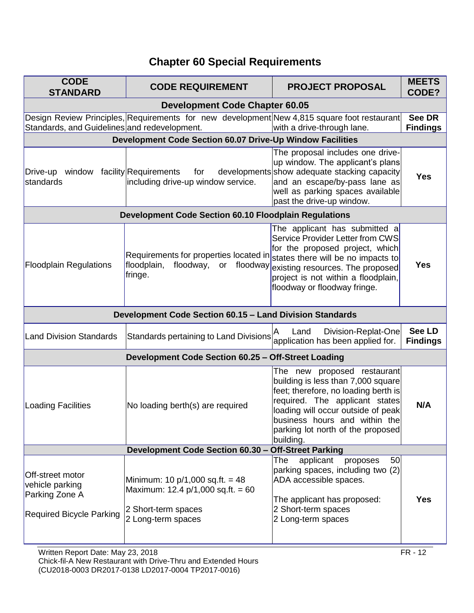# **Chapter 60 Special Requirements**

| <b>CODE</b><br><b>STANDARD</b>                                                           | <b>CODE REQUIREMENT</b>                                                                         | <b>PROJECT PROPOSAL</b>                                                                                                                                                                                                                                               | <b>MEETS</b><br>CODE?            |
|------------------------------------------------------------------------------------------|-------------------------------------------------------------------------------------------------|-----------------------------------------------------------------------------------------------------------------------------------------------------------------------------------------------------------------------------------------------------------------------|----------------------------------|
|                                                                                          | <b>Development Code Chapter 60.05</b>                                                           |                                                                                                                                                                                                                                                                       |                                  |
| Standards, and Guidelines and redevelopment.                                             | Design Review Principles, Requirements for new development New 4,815 square foot restaurant     | with a drive-through lane.                                                                                                                                                                                                                                            | <b>See DR</b><br><b>Findings</b> |
|                                                                                          | Development Code Section 60.07 Drive-Up Window Facilities                                       |                                                                                                                                                                                                                                                                       |                                  |
| Drive-up window facility Requirements<br>standards                                       | for<br>including drive-up window service.                                                       | The proposal includes one drive-<br>up window. The applicant's plans<br>developments show adequate stacking capacity<br>and an escape/by-pass lane as<br>well as parking spaces available<br>past the drive-up window.                                                | <b>Yes</b>                       |
|                                                                                          | <b>Development Code Section 60.10 Floodplain Regulations</b>                                    |                                                                                                                                                                                                                                                                       |                                  |
| <b>Floodplain Regulations</b>                                                            | Requirements for properties located in<br>floodplain,<br>floodway,<br>or<br>fringe.             | The applicant has submitted a<br><b>Service Provider Letter from CWS</b><br>for the proposed project, which<br>states there will be no impacts to<br>floodway existing resources. The proposed<br>project is not within a floodplain,<br>floodway or floodway fringe. | <b>Yes</b>                       |
|                                                                                          | <b>Development Code Section 60.15 - Land Division Standards</b>                                 |                                                                                                                                                                                                                                                                       |                                  |
| <b>Land Division Standards</b>                                                           | Standards pertaining to Land Divisions                                                          | Division-Replat-One<br>Land<br>application has been applied for.                                                                                                                                                                                                      | <b>See LD</b><br><b>Findings</b> |
|                                                                                          | Development Code Section 60.25 - Off-Street Loading                                             |                                                                                                                                                                                                                                                                       |                                  |
| <b>Loading Facilities</b>                                                                | No loading berth(s) are required                                                                | The new proposed restaurant<br>building is less than 7,000 square<br>feet; therefore, no loading berth is<br>required. The applicant states<br>loading will occur outside of peak<br>business hours and within the<br>parking lot north of the proposed<br>building.  | N/A                              |
|                                                                                          | Development Code Section 60.30 - Off-Street Parking                                             |                                                                                                                                                                                                                                                                       |                                  |
| Off-street motor<br>vehicle parking<br>Parking Zone A<br><b>Required Bicycle Parking</b> | Minimum: 10 $p/1,000$ sq.ft. = 48<br>Maximum: 12.4 $p/1,000$ sq.ft. = 60<br>2 Short-term spaces | 50<br>applicant<br>The<br>proposes<br>parking spaces, including two (2)<br>ADA accessible spaces.<br>The applicant has proposed:<br>2 Short-term spaces<br>2 Long-term spaces                                                                                         | <b>Yes</b>                       |
|                                                                                          | 2 Long-term spaces                                                                              |                                                                                                                                                                                                                                                                       |                                  |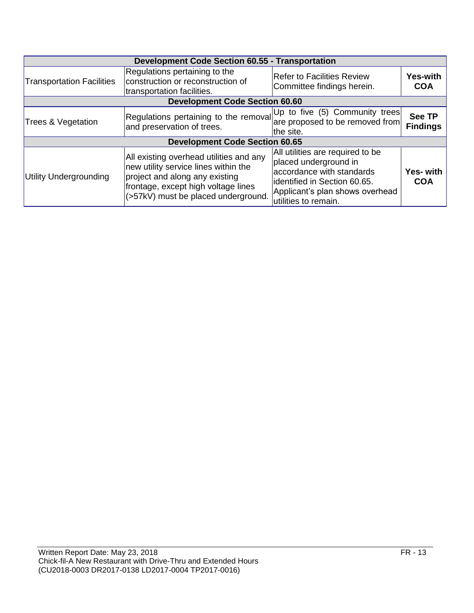| <b>Development Code Section 60.55 - Transportation</b> |                                                                                                                                                                                                 |                                                                                                                                                                                   |                                  |
|--------------------------------------------------------|-------------------------------------------------------------------------------------------------------------------------------------------------------------------------------------------------|-----------------------------------------------------------------------------------------------------------------------------------------------------------------------------------|----------------------------------|
| <b>Transportation Facilities</b>                       | Regulations pertaining to the<br>construction or reconstruction of<br>transportation facilities.                                                                                                | <b>Refer to Facilities Review</b><br>Committee findings herein.                                                                                                                   | <b>Yes-with</b><br><b>COA</b>    |
|                                                        | <b>Development Code Section 60.60</b>                                                                                                                                                           |                                                                                                                                                                                   |                                  |
| Trees & Vegetation                                     | Regulations pertaining to the removal Up to five (5) Community trees<br>and preservation of trees.                                                                                              | lthe site.                                                                                                                                                                        | <b>See TP</b><br><b>Findings</b> |
|                                                        | <b>Development Code Section 60.65</b>                                                                                                                                                           |                                                                                                                                                                                   |                                  |
| <b>Utility Undergrounding</b>                          | All existing overhead utilities and any<br>new utility service lines within the<br>project and along any existing<br>frontage, except high voltage lines<br>(>57kV) must be placed underground. | All utilities are required to be<br>placed underground in<br>accordance with standards<br>identified in Section 60.65.<br>Applicant's plan shows overhead<br>utilities to remain. | Yes- with<br><b>COA</b>          |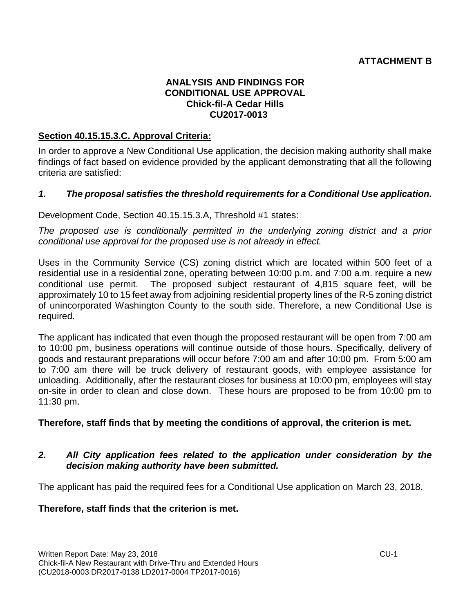### **ATTACHMENT B**

#### **ANALYSIS AND FINDINGS FOR CONDITIONAL USE APPROVAL Chick-fil-A Cedar Hills CU2017-0013**

#### **Section 40.15.15.3.C. Approval Criteria:**

In order to approve a New Conditional Use application, the decision making authority shall make findings of fact based on evidence provided by the applicant demonstrating that all the following criteria are satisfied:

#### *1. The proposal satisfies the threshold requirements for a Conditional Use application.*

Development Code, Section 40.15.15.3.A, Threshold #1 states:

*The proposed use is conditionally permitted in the underlying zoning district and a prior conditional use approval for the proposed use is not already in effect.* 

Uses in the Community Service (CS) zoning district which are located within 500 feet of a residential use in a residential zone, operating between 10:00 p.m. and 7:00 a.m. require a new conditional use permit. The proposed subject restaurant of 4,815 square feet, will be approximately 10 to 15 feet away from adjoining residential property lines of the R-5 zoning district of unincorporated Washington County to the south side. Therefore, a new Conditional Use is required.

The applicant has indicated that even though the proposed restaurant will be open from 7:00 am to 10:00 pm, business operations will continue outside of those hours. Specifically, delivery of goods and restaurant preparations will occur before 7:00 am and after 10:00 pm. From 5:00 am to 7:00 am there will be truck delivery of restaurant goods, with employee assistance for unloading. Additionally, after the restaurant closes for business at 10:00 pm, employees will stay on-site in order to clean and close down. These hours are proposed to be from 10:00 pm to 11:30 pm.

**Therefore, staff finds that by meeting the conditions of approval, the criterion is met.**

#### *2. All City application fees related to the application under consideration by the decision making authority have been submitted.*

The applicant has paid the required fees for a Conditional Use application on March 23, 2018.

**Therefore, staff finds that the criterion is met.**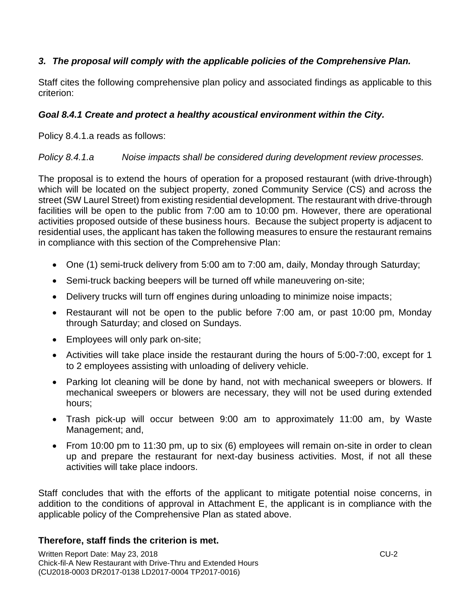### *3. The proposal will comply with the applicable policies of the Comprehensive Plan.*

Staff cites the following comprehensive plan policy and associated findings as applicable to this criterion:

### *Goal 8.4.1 Create and protect a healthy acoustical environment within the City.*

Policy 8.4.1.a reads as follows:

#### *Policy 8.4.1.a Noise impacts shall be considered during development review processes.*

The proposal is to extend the hours of operation for a proposed restaurant (with drive-through) which will be located on the subject property, zoned Community Service (CS) and across the street (SW Laurel Street) from existing residential development. The restaurant with drive-through facilities will be open to the public from 7:00 am to 10:00 pm. However, there are operational activities proposed outside of these business hours. Because the subject property is adjacent to residential uses, the applicant has taken the following measures to ensure the restaurant remains in compliance with this section of the Comprehensive Plan:

- One (1) semi-truck delivery from 5:00 am to 7:00 am, daily, Monday through Saturday;
- Semi-truck backing beepers will be turned off while maneuvering on-site;
- Delivery trucks will turn off engines during unloading to minimize noise impacts;
- Restaurant will not be open to the public before 7:00 am, or past 10:00 pm, Monday through Saturday; and closed on Sundays.
- Employees will only park on-site;
- Activities will take place inside the restaurant during the hours of 5:00-7:00, except for 1 to 2 employees assisting with unloading of delivery vehicle.
- Parking lot cleaning will be done by hand, not with mechanical sweepers or blowers. If mechanical sweepers or blowers are necessary, they will not be used during extended hours;
- Trash pick-up will occur between 9:00 am to approximately 11:00 am, by Waste Management; and,
- From 10:00 pm to 11:30 pm, up to six (6) employees will remain on-site in order to clean up and prepare the restaurant for next-day business activities. Most, if not all these activities will take place indoors.

Staff concludes that with the efforts of the applicant to mitigate potential noise concerns, in addition to the conditions of approval in Attachment E, the applicant is in compliance with the applicable policy of the Comprehensive Plan as stated above.

### **Therefore, staff finds the criterion is met.**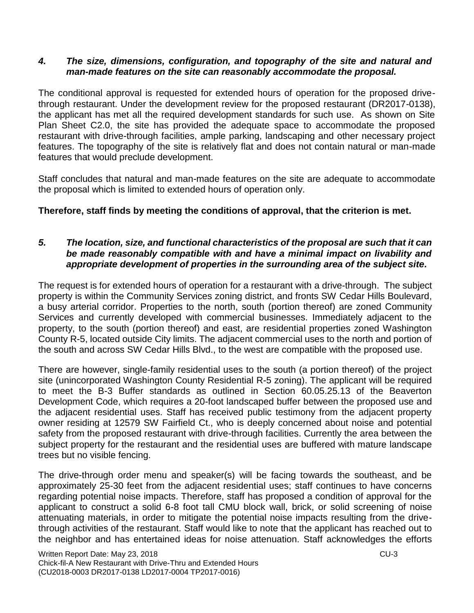#### *4. The size, dimensions, configuration, and topography of the site and natural and man-made features on the site can reasonably accommodate the proposal.*

The conditional approval is requested for extended hours of operation for the proposed drivethrough restaurant. Under the development review for the proposed restaurant (DR2017-0138), the applicant has met all the required development standards for such use. As shown on Site Plan Sheet C2.0, the site has provided the adequate space to accommodate the proposed restaurant with drive-through facilities, ample parking, landscaping and other necessary project features. The topography of the site is relatively flat and does not contain natural or man-made features that would preclude development.

Staff concludes that natural and man-made features on the site are adequate to accommodate the proposal which is limited to extended hours of operation only.

### **Therefore, staff finds by meeting the conditions of approval, that the criterion is met.**

#### *5. The location, size, and functional characteristics of the proposal are such that it can be made reasonably compatible with and have a minimal impact on livability and appropriate development of properties in the surrounding area of the subject site.*

The request is for extended hours of operation for a restaurant with a drive-through. The subject property is within the Community Services zoning district, and fronts SW Cedar Hills Boulevard, a busy arterial corridor. Properties to the north, south (portion thereof) are zoned Community Services and currently developed with commercial businesses. Immediately adjacent to the property, to the south (portion thereof) and east, are residential properties zoned Washington County R-5, located outside City limits. The adjacent commercial uses to the north and portion of the south and across SW Cedar Hills Blvd., to the west are compatible with the proposed use.

There are however, single-family residential uses to the south (a portion thereof) of the project site (unincorporated Washington County Residential R-5 zoning). The applicant will be required to meet the B-3 Buffer standards as outlined in Section 60.05.25.13 of the Beaverton Development Code, which requires a 20-foot landscaped buffer between the proposed use and the adjacent residential uses. Staff has received public testimony from the adjacent property owner residing at 12579 SW Fairfield Ct., who is deeply concerned about noise and potential safety from the proposed restaurant with drive-through facilities. Currently the area between the subject property for the restaurant and the residential uses are buffered with mature landscape trees but no visible fencing.

The drive-through order menu and speaker(s) will be facing towards the southeast, and be approximately 25-30 feet from the adjacent residential uses; staff continues to have concerns regarding potential noise impacts. Therefore, staff has proposed a condition of approval for the applicant to construct a solid 6-8 foot tall CMU block wall, brick, or solid screening of noise attenuating materials, in order to mitigate the potential noise impacts resulting from the drivethrough activities of the restaurant. Staff would like to note that the applicant has reached out to the neighbor and has entertained ideas for noise attenuation. Staff acknowledges the efforts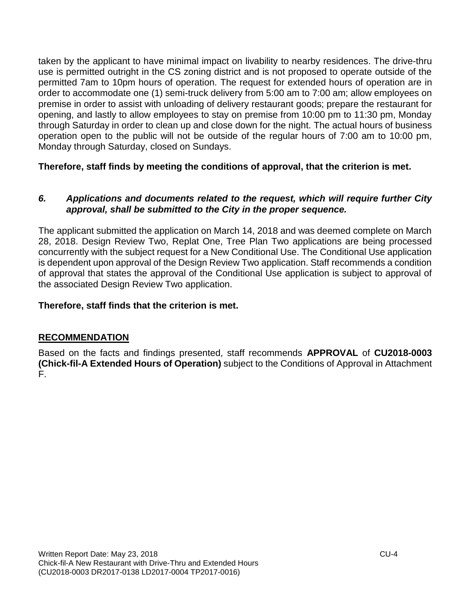taken by the applicant to have minimal impact on livability to nearby residences. The drive-thru use is permitted outright in the CS zoning district and is not proposed to operate outside of the permitted 7am to 10pm hours of operation. The request for extended hours of operation are in order to accommodate one (1) semi-truck delivery from 5:00 am to 7:00 am; allow employees on premise in order to assist with unloading of delivery restaurant goods; prepare the restaurant for opening, and lastly to allow employees to stay on premise from 10:00 pm to 11:30 pm, Monday through Saturday in order to clean up and close down for the night. The actual hours of business operation open to the public will not be outside of the regular hours of 7:00 am to 10:00 pm, Monday through Saturday, closed on Sundays.

### **Therefore, staff finds by meeting the conditions of approval, that the criterion is met.**

#### *6. Applications and documents related to the request, which will require further City approval, shall be submitted to the City in the proper sequence.*

The applicant submitted the application on March 14, 2018 and was deemed complete on March 28, 2018. Design Review Two, Replat One, Tree Plan Two applications are being processed concurrently with the subject request for a New Conditional Use. The Conditional Use application is dependent upon approval of the Design Review Two application. Staff recommends a condition of approval that states the approval of the Conditional Use application is subject to approval of the associated Design Review Two application.

### **Therefore, staff finds that the criterion is met.**

### **RECOMMENDATION**

Based on the facts and findings presented, staff recommends **APPROVAL** of **CU2018-0003 (Chick-fil-A Extended Hours of Operation)** subject to the Conditions of Approval in Attachment F.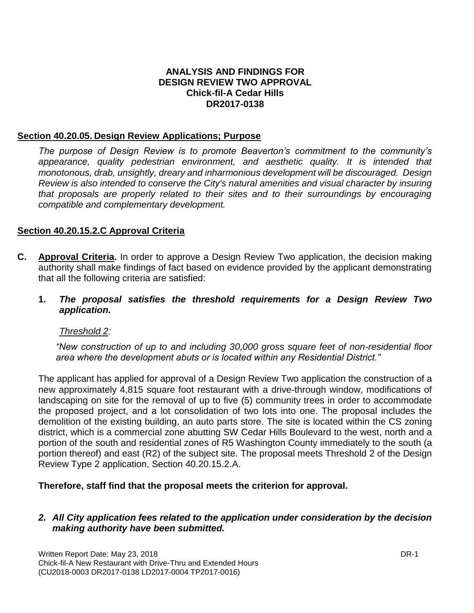#### **ANALYSIS AND FINDINGS FOR DESIGN REVIEW TWO APPROVAL Chick-fil-A Cedar Hills DR2017-0138**

#### **Section 40.20.05. Design Review Applications; Purpose**

*The purpose of Design Review is to promote Beaverton's commitment to the community's appearance, quality pedestrian environment, and aesthetic quality. It is intended that monotonous, drab, unsightly, dreary and inharmonious development will be discouraged. Design Review is also intended to conserve the City's natural amenities and visual character by insuring that proposals are properly related to their sites and to their surroundings by encouraging compatible and complementary development.*

#### **Section 40.20.15.2.C Approval Criteria**

- **C. Approval Criteria.** In order to approve a Design Review Two application, the decision making authority shall make findings of fact based on evidence provided by the applicant demonstrating that all the following criteria are satisfied:
	- **1.** *The proposal satisfies the threshold requirements for a Design Review Two application.*

#### *Threshold 2:*

*"New construction of up to and including 30,000 gross square feet of non-residential floor area where the development abuts or is located within any Residential District."*

The applicant has applied for approval of a Design Review Two application the construction of a new approximately 4,815 square foot restaurant with a drive-through window, modifications of landscaping on site for the removal of up to five (5) community trees in order to accommodate the proposed project, and a lot consolidation of two lots into one. The proposal includes the demolition of the existing building, an auto parts store. The site is located within the CS zoning district, which is a commercial zone abutting SW Cedar Hills Boulevard to the west, north and a portion of the south and residential zones of R5 Washington County immediately to the south (a portion thereof) and east (R2) of the subject site. The proposal meets Threshold 2 of the Design Review Type 2 application, Section 40.20.15.2.A.

#### **Therefore, staff find that the proposal meets the criterion for approval.**

#### *2. All City application fees related to the application under consideration by the decision making authority have been submitted.*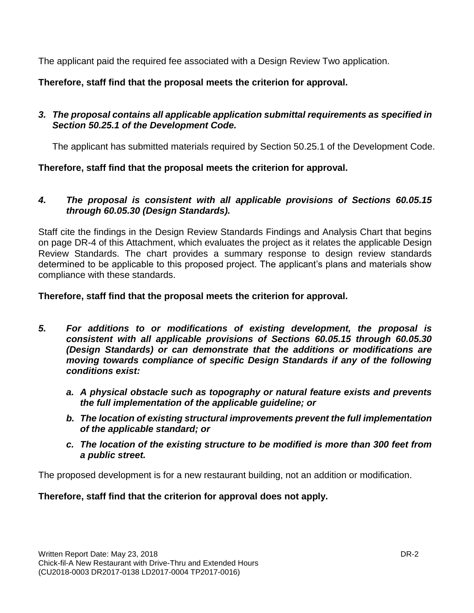The applicant paid the required fee associated with a Design Review Two application.

**Therefore, staff find that the proposal meets the criterion for approval.**

### *3. The proposal contains all applicable application submittal requirements as specified in Section 50.25.1 of the Development Code.*

The applicant has submitted materials required by Section 50.25.1 of the Development Code.

**Therefore, staff find that the proposal meets the criterion for approval.**

### *4. The proposal is consistent with all applicable provisions of Sections 60.05.15 through 60.05.30 (Design Standards).*

Staff cite the findings in the Design Review Standards Findings and Analysis Chart that begins on page DR-4 of this Attachment, which evaluates the project as it relates the applicable Design Review Standards. The chart provides a summary response to design review standards determined to be applicable to this proposed project. The applicant's plans and materials show compliance with these standards.

**Therefore, staff find that the proposal meets the criterion for approval.**

- *5. For additions to or modifications of existing development, the proposal is consistent with all applicable provisions of Sections 60.05.15 through 60.05.30 (Design Standards) or can demonstrate that the additions or modifications are moving towards compliance of specific Design Standards if any of the following conditions exist:*
	- *a. A physical obstacle such as topography or natural feature exists and prevents the full implementation of the applicable guideline; or*
	- *b. The location of existing structural improvements prevent the full implementation of the applicable standard; or*
	- *c. The location of the existing structure to be modified is more than 300 feet from a public street.*

The proposed development is for a new restaurant building, not an addition or modification.

**Therefore, staff find that the criterion for approval does not apply.**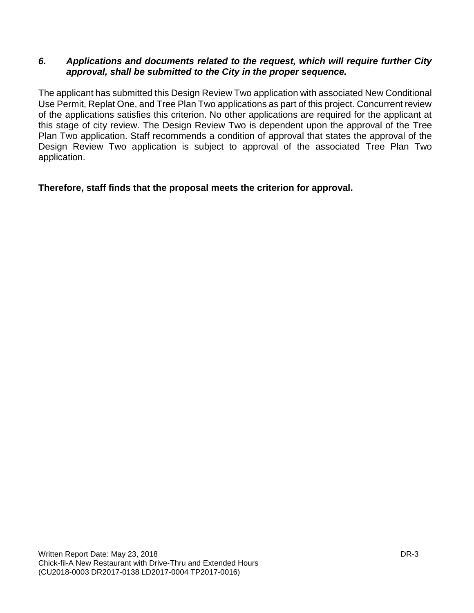#### *6. Applications and documents related to the request, which will require further City approval, shall be submitted to the City in the proper sequence.*

The applicant has submitted this Design Review Two application with associated New Conditional Use Permit, Replat One, and Tree Plan Two applications as part of this project. Concurrent review of the applications satisfies this criterion. No other applications are required for the applicant at this stage of city review. The Design Review Two is dependent upon the approval of the Tree Plan Two application. Staff recommends a condition of approval that states the approval of the Design Review Two application is subject to approval of the associated Tree Plan Two application.

**Therefore, staff finds that the proposal meets the criterion for approval.**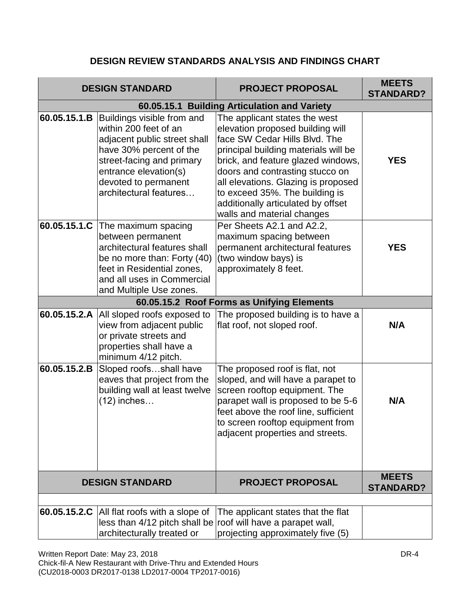### **DESIGN REVIEW STANDARDS ANALYSIS AND FINDINGS CHART**

|              | <b>DESIGN STANDARD</b>                                                                                                                                                                                                 | <b>PROJECT PROPOSAL</b>                                                                                                                                                                                                                                                                                                                                          | <b>MEETS</b><br><b>STANDARD?</b> |
|--------------|------------------------------------------------------------------------------------------------------------------------------------------------------------------------------------------------------------------------|------------------------------------------------------------------------------------------------------------------------------------------------------------------------------------------------------------------------------------------------------------------------------------------------------------------------------------------------------------------|----------------------------------|
|              |                                                                                                                                                                                                                        |                                                                                                                                                                                                                                                                                                                                                                  |                                  |
| 60.05.15.1.B | Buildings visible from and<br>within 200 feet of an<br>adjacent public street shall<br>have 30% percent of the<br>street-facing and primary<br>entrance elevation(s)<br>devoted to permanent<br>architectural features | The applicant states the west<br>elevation proposed building will<br>face SW Cedar Hills Blvd. The<br>principal building materials will be<br>brick, and feature glazed windows,<br>doors and contrasting stucco on<br>all elevations. Glazing is proposed<br>to exceed 35%. The building is<br>additionally articulated by offset<br>walls and material changes | <b>YES</b>                       |
| 60.05.15.1.C | The maximum spacing<br>between permanent<br>architectural features shall<br>be no more than: Forty (40)<br>feet in Residential zones,<br>and all uses in Commercial<br>and Multiple Use zones.                         | Per Sheets A2.1 and A2.2,<br>maximum spacing between<br>permanent architectural features<br>(two window bays) is<br>approximately 8 feet.                                                                                                                                                                                                                        | <b>YES</b>                       |
|              |                                                                                                                                                                                                                        | 60.05.15.2 Roof Forms as Unifying Elements                                                                                                                                                                                                                                                                                                                       |                                  |
| 60.05.15.2.A | All sloped roofs exposed to<br>view from adjacent public<br>or private streets and<br>properties shall have a<br>minimum 4/12 pitch.                                                                                   | The proposed building is to have a<br>flat roof, not sloped roof.                                                                                                                                                                                                                                                                                                | N/A                              |
| 60.05.15.2.B | Sloped roofsshall have<br>eaves that project from the<br>building wall at least twelve<br>$(12)$ inches                                                                                                                | The proposed roof is flat, not<br>sloped, and will have a parapet to<br>screen rooftop equipment. The<br>parapet wall is proposed to be 5-6<br>feet above the roof line, sufficient<br>to screen rooftop equipment from<br>adjacent properties and streets.                                                                                                      | N/A                              |
|              | <b>DESIGN STANDARD</b>                                                                                                                                                                                                 | <b>PROJECT PROPOSAL</b>                                                                                                                                                                                                                                                                                                                                          | <b>MEETS</b><br><b>STANDARD?</b> |
|              |                                                                                                                                                                                                                        |                                                                                                                                                                                                                                                                                                                                                                  |                                  |
| 60.05.15.2.C | All flat roofs with a slope of<br>architecturally treated or                                                                                                                                                           | The applicant states that the flat<br>less than 4/12 pitch shall be roof will have a parapet wall,<br>projecting approximately five (5)                                                                                                                                                                                                                          |                                  |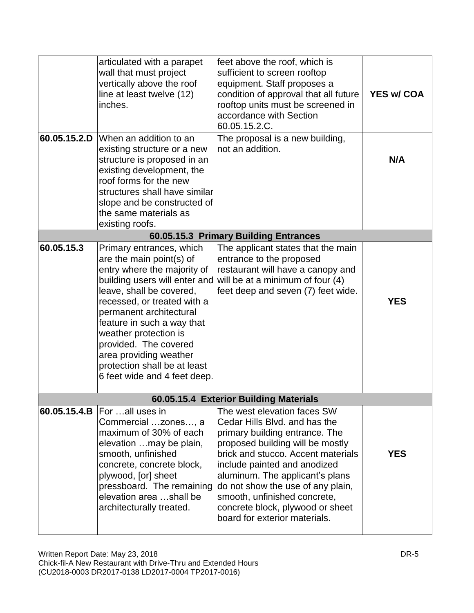|            | articulated with a parapet<br>wall that must project<br>vertically above the roof<br>line at least twelve (12)<br>inches.                                                                                                                                                                                                                           | feet above the roof, which is<br>sufficient to screen rooftop<br>equipment. Staff proposes a<br>condition of approval that all future<br>rooftop units must be screened in<br>accordance with Section<br>60.05.15.2.C.                                                                                                                                                                | <b>YES w/ COA</b> |
|------------|-----------------------------------------------------------------------------------------------------------------------------------------------------------------------------------------------------------------------------------------------------------------------------------------------------------------------------------------------------|---------------------------------------------------------------------------------------------------------------------------------------------------------------------------------------------------------------------------------------------------------------------------------------------------------------------------------------------------------------------------------------|-------------------|
|            | 60.05.15.2.D When an addition to an<br>existing structure or a new<br>structure is proposed in an<br>existing development, the<br>roof forms for the new<br>structures shall have similar<br>slope and be constructed of<br>the same materials as<br>existing roofs.                                                                                | The proposal is a new building,<br>not an addition.                                                                                                                                                                                                                                                                                                                                   | N/A               |
|            |                                                                                                                                                                                                                                                                                                                                                     | 60.05.15.3 Primary Building Entrances                                                                                                                                                                                                                                                                                                                                                 |                   |
| 60.05.15.3 | Primary entrances, which<br>are the main point(s) of<br>entry where the majority of<br>leave, shall be covered,<br>recessed, or treated with a<br>permanent architectural<br>feature in such a way that<br>weather protection is<br>provided. The covered<br>area providing weather<br>protection shall be at least<br>6 feet wide and 4 feet deep. | The applicant states that the main<br>entrance to the proposed<br>restaurant will have a canopy and<br>building users will enter and will be at a minimum of four $(4)$<br>feet deep and seven (7) feet wide.                                                                                                                                                                         | <b>YES</b>        |
|            |                                                                                                                                                                                                                                                                                                                                                     | 60.05.15.4 Exterior Building Materials                                                                                                                                                                                                                                                                                                                                                |                   |
|            | <b>60.05.15.4.B</b> $ For all uses in$<br>Commercial  zones, a<br>maximum of 30% of each<br>elevation  may be plain,<br>smooth, unfinished<br>concrete, concrete block,<br>plywood, [or] sheet<br>pressboard. The remaining<br>elevation area shall be<br>architecturally treated.                                                                  | The west elevation faces SW<br>Cedar Hills Blvd, and has the<br>primary building entrance. The<br>proposed building will be mostly<br>brick and stucco. Accent materials<br>include painted and anodized<br>aluminum. The applicant's plans<br>do not show the use of any plain,<br>smooth, unfinished concrete,<br>concrete block, plywood or sheet<br>board for exterior materials. | <b>YES</b>        |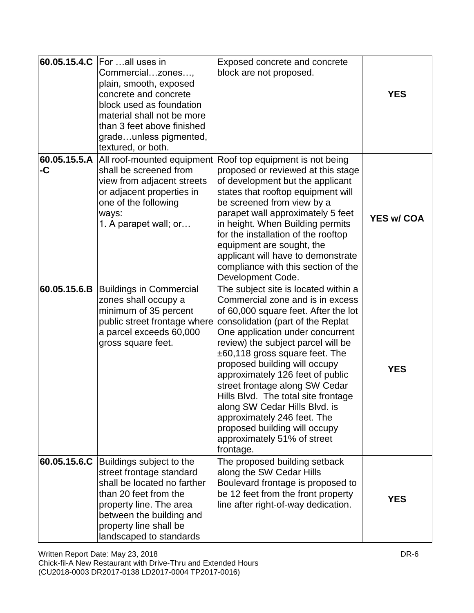|                    | 60.05.15.4.C For all uses in<br>Commercialzones,<br>plain, smooth, exposed<br>concrete and concrete<br>block used as foundation<br>material shall not be more<br>than 3 feet above finished<br>gradeunless pigmented,<br>textured, or both. | Exposed concrete and concrete<br>block are not proposed.                                                                                                                                                                                                                                                                                                                                                                                                                                                                                                       | <b>YES</b>        |
|--------------------|---------------------------------------------------------------------------------------------------------------------------------------------------------------------------------------------------------------------------------------------|----------------------------------------------------------------------------------------------------------------------------------------------------------------------------------------------------------------------------------------------------------------------------------------------------------------------------------------------------------------------------------------------------------------------------------------------------------------------------------------------------------------------------------------------------------------|-------------------|
| 60.05.15.5.A<br>-C | shall be screened from<br>view from adjacent streets<br>or adjacent properties in<br>one of the following<br>ways:<br>1. A parapet wall; or                                                                                                 | All roof-mounted equipment Roof top equipment is not being<br>proposed or reviewed at this stage<br>of development but the applicant<br>states that rooftop equipment will<br>be screened from view by a<br>parapet wall approximately 5 feet<br>in height. When Building permits<br>for the installation of the rooftop<br>equipment are sought, the<br>applicant will have to demonstrate<br>compliance with this section of the<br>Development Code.                                                                                                        | <b>YES w/ COA</b> |
| 60.05.15.6.B       | <b>Buildings in Commercial</b><br>zones shall occupy a<br>minimum of 35 percent<br>public street frontage where<br>a parcel exceeds 60,000<br>gross square feet.                                                                            | The subject site is located within a<br>Commercial zone and is in excess<br>of 60,000 square feet. After the lot<br>consolidation (part of the Replat<br>One application under concurrent<br>review) the subject parcel will be<br>$±60,118$ gross square feet. The<br>proposed building will occupy<br>approximately 126 feet of public<br>street frontage along SW Cedar<br>Hills Blvd. The total site frontage<br>along SW Cedar Hills Blvd. is<br>approximately 246 feet. The<br>proposed building will occupy<br>approximately 51% of street<br>frontage. | <b>YES</b>        |
|                    | 60.05.15.6.C Buildings subject to the<br>street frontage standard<br>shall be located no farther<br>than 20 feet from the<br>property line. The area<br>between the building and<br>property line shall be<br>landscaped to standards       | The proposed building setback<br>along the SW Cedar Hills<br>Boulevard frontage is proposed to<br>be 12 feet from the front property<br>line after right-of-way dedication.                                                                                                                                                                                                                                                                                                                                                                                    | <b>YES</b>        |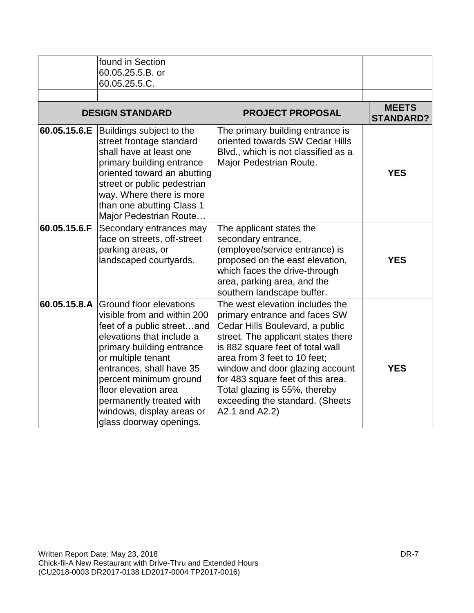|              | found in Section<br>60.05.25.5.B. or<br>60.05.25.5.C.                                                                                                                                                                                                                                                                                               |                                                                                                                                                                                                                                                                                                                                                                             |                                  |
|--------------|-----------------------------------------------------------------------------------------------------------------------------------------------------------------------------------------------------------------------------------------------------------------------------------------------------------------------------------------------------|-----------------------------------------------------------------------------------------------------------------------------------------------------------------------------------------------------------------------------------------------------------------------------------------------------------------------------------------------------------------------------|----------------------------------|
|              | <b>DESIGN STANDARD</b>                                                                                                                                                                                                                                                                                                                              | <b>PROJECT PROPOSAL</b>                                                                                                                                                                                                                                                                                                                                                     | <b>MEETS</b><br><b>STANDARD?</b> |
| 60.05.15.6.E | Buildings subject to the<br>street frontage standard<br>shall have at least one<br>primary building entrance<br>oriented toward an abutting<br>street or public pedestrian<br>way. Where there is more<br>than one abutting Class 1<br>Major Pedestrian Route                                                                                       | The primary building entrance is<br>oriented towards SW Cedar Hills<br>Blvd., which is not classified as a<br>Major Pedestrian Route.                                                                                                                                                                                                                                       | <b>YES</b>                       |
| 60.05.15.6.F | Secondary entrances may<br>face on streets, off-street<br>parking areas, or<br>landscaped courtyards.                                                                                                                                                                                                                                               | The applicant states the<br>secondary entrance,<br>(employee/service entrance) is<br>proposed on the east elevation,<br>which faces the drive-through<br>area, parking area, and the<br>southern landscape buffer.                                                                                                                                                          | <b>YES</b>                       |
|              | 60.05.15.8.A Ground floor elevations<br>visible from and within 200<br>feet of a public streetand<br>elevations that include a<br>primary building entrance<br>or multiple tenant<br>entrances, shall have 35<br>percent minimum ground<br>floor elevation area<br>permanently treated with<br>windows, display areas or<br>glass doorway openings. | The west elevation includes the<br>primary entrance and faces SW<br>Cedar Hills Boulevard, a public<br>street. The applicant states there<br>is 882 square feet of total wall<br>area from 3 feet to 10 feet;<br>window and door glazing account<br>for 483 square feet of this area.<br>Total glazing is 55%, thereby<br>exceeding the standard. (Sheets<br>A2.1 and A2.2) | <b>YES</b>                       |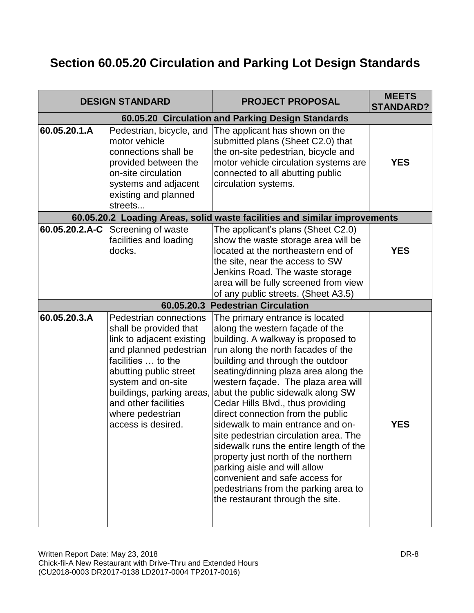# **Section 60.05.20 Circulation and Parking Lot Design Standards**

|                | <b>DESIGN STANDARD</b>                                                                                                                                                                                                                                                       | <b>PROJECT PROPOSAL</b>                                                                                                                                                                                                                                                                                                                                                                                                                                                                                                                                                                                                                                                                       | <b>MEETS</b><br><b>STANDARD?</b> |
|----------------|------------------------------------------------------------------------------------------------------------------------------------------------------------------------------------------------------------------------------------------------------------------------------|-----------------------------------------------------------------------------------------------------------------------------------------------------------------------------------------------------------------------------------------------------------------------------------------------------------------------------------------------------------------------------------------------------------------------------------------------------------------------------------------------------------------------------------------------------------------------------------------------------------------------------------------------------------------------------------------------|----------------------------------|
|                |                                                                                                                                                                                                                                                                              | 60.05.20 Circulation and Parking Design Standards                                                                                                                                                                                                                                                                                                                                                                                                                                                                                                                                                                                                                                             |                                  |
| 60.05.20.1.A   | Pedestrian, bicycle, and<br>motor vehicle<br>connections shall be<br>provided between the<br>on-site circulation<br>systems and adjacent<br>existing and planned<br>streets                                                                                                  | The applicant has shown on the<br>submitted plans (Sheet C2.0) that<br>the on-site pedestrian, bicycle and<br>motor vehicle circulation systems are<br>connected to all abutting public<br>circulation systems.                                                                                                                                                                                                                                                                                                                                                                                                                                                                               | <b>YES</b>                       |
|                |                                                                                                                                                                                                                                                                              | 60.05.20.2 Loading Areas, solid waste facilities and similar improvements                                                                                                                                                                                                                                                                                                                                                                                                                                                                                                                                                                                                                     |                                  |
| 60.05.20.2.A-C | Screening of waste<br>facilities and loading<br>docks.                                                                                                                                                                                                                       | The applicant's plans (Sheet C2.0)<br>show the waste storage area will be<br>located at the northeastern end of<br>the site, near the access to SW<br>Jenkins Road. The waste storage<br>area will be fully screened from view<br>of any public streets. (Sheet A3.5)                                                                                                                                                                                                                                                                                                                                                                                                                         | <b>YES</b>                       |
|                |                                                                                                                                                                                                                                                                              | 60.05.20.3 Pedestrian Circulation                                                                                                                                                                                                                                                                                                                                                                                                                                                                                                                                                                                                                                                             |                                  |
| 60.05.20.3.A   | Pedestrian connections<br>shall be provided that<br>link to adjacent existing<br>and planned pedestrian<br>facilities  to the<br>abutting public street<br>system and on-site<br>buildings, parking areas,<br>and other facilities<br>where pedestrian<br>access is desired. | The primary entrance is located<br>along the western façade of the<br>building. A walkway is proposed to<br>run along the north facades of the<br>building and through the outdoor<br>seating/dinning plaza area along the<br>western façade. The plaza area will<br>abut the public sidewalk along SW<br>Cedar Hills Blvd., thus providing<br>direct connection from the public<br>sidewalk to main entrance and on-<br>site pedestrian circulation area. The<br>sidewalk runs the entire length of the<br>property just north of the northern<br>parking aisle and will allow<br>convenient and safe access for<br>pedestrians from the parking area to<br>the restaurant through the site. | <b>YES</b>                       |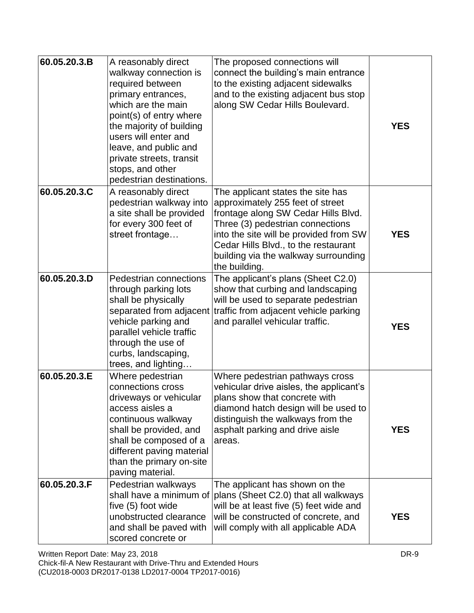| 60.05.20.3.B | A reasonably direct<br>walkway connection is<br>required between<br>primary entrances,<br>which are the main<br>point(s) of entry where<br>the majority of building<br>users will enter and<br>leave, and public and<br>private streets, transit<br>stops, and other<br>pedestrian destinations. | The proposed connections will<br>connect the building's main entrance<br>to the existing adjacent sidewalks<br>and to the existing adjacent bus stop<br>along SW Cedar Hills Boulevard.                                                                                                     | <b>YES</b> |
|--------------|--------------------------------------------------------------------------------------------------------------------------------------------------------------------------------------------------------------------------------------------------------------------------------------------------|---------------------------------------------------------------------------------------------------------------------------------------------------------------------------------------------------------------------------------------------------------------------------------------------|------------|
| 60.05.20.3.C | A reasonably direct<br>pedestrian walkway into<br>a site shall be provided<br>for every 300 feet of<br>street frontage                                                                                                                                                                           | The applicant states the site has<br>approximately 255 feet of street<br>frontage along SW Cedar Hills Blvd.<br>Three (3) pedestrian connections<br>into the site will be provided from SW<br>Cedar Hills Blvd., to the restaurant<br>building via the walkway surrounding<br>the building. | <b>YES</b> |
| 60.05.20.3.D | Pedestrian connections<br>through parking lots<br>shall be physically<br>separated from adjacent<br>vehicle parking and<br>parallel vehicle traffic<br>through the use of<br>curbs, landscaping,<br>trees, and lighting                                                                          | The applicant's plans (Sheet C2.0)<br>show that curbing and landscaping<br>will be used to separate pedestrian<br>traffic from adjacent vehicle parking<br>and parallel vehicular traffic.                                                                                                  | <b>YES</b> |
| 60.05.20.3.E | Where pedestrian<br>connections cross<br>driveways or vehicular<br>access aisles a<br>continuous walkway<br>shall be provided, and<br>shall be composed of a<br>different paving material<br>than the primary on-site<br>paving material.                                                        | Where pedestrian pathways cross<br>vehicular drive aisles, the applicant's<br>plans show that concrete with<br>diamond hatch design will be used to<br>distinguish the walkways from the<br>asphalt parking and drive aisle<br>areas.                                                       | <b>YES</b> |
| 60.05.20.3.F | Pedestrian walkways<br>shall have a minimum of<br>five (5) foot wide<br>unobstructed clearance<br>and shall be paved with<br>scored concrete or                                                                                                                                                  | The applicant has shown on the<br>plans (Sheet C2.0) that all walkways<br>will be at least five (5) feet wide and<br>will be constructed of concrete, and<br>will comply with all applicable ADA                                                                                            | <b>YES</b> |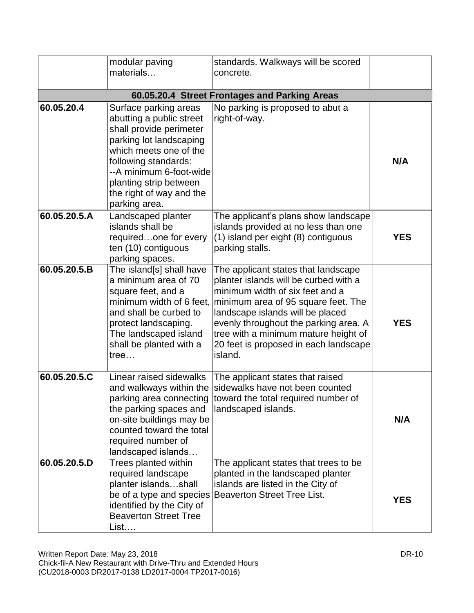|              | modular paving<br>materials                                                                                                                                                                                                                                 | standards. Walkways will be scored<br>concrete.                                                                                                                                                                                                                                                                                 |            |
|--------------|-------------------------------------------------------------------------------------------------------------------------------------------------------------------------------------------------------------------------------------------------------------|---------------------------------------------------------------------------------------------------------------------------------------------------------------------------------------------------------------------------------------------------------------------------------------------------------------------------------|------------|
|              |                                                                                                                                                                                                                                                             | 60.05.20.4 Street Frontages and Parking Areas                                                                                                                                                                                                                                                                                   |            |
| 60.05.20.4   | Surface parking areas<br>abutting a public street<br>shall provide perimeter<br>parking lot landscaping<br>which meets one of the<br>following standards:<br>--A minimum 6-foot-wide<br>planting strip between<br>the right of way and the<br>parking area. | No parking is proposed to abut a<br>right-of-way.                                                                                                                                                                                                                                                                               | N/A        |
| 60.05.20.5.A | Landscaped planter<br>islands shall be<br>requiredone for every<br>ten (10) contiguous<br>parking spaces.                                                                                                                                                   | The applicant's plans show landscape<br>islands provided at no less than one<br>(1) island per eight (8) contiguous<br>parking stalls.                                                                                                                                                                                          | <b>YES</b> |
| 60.05.20.5.B | The island[s] shall have<br>a minimum area of 70<br>square feet, and a<br>minimum width of 6 feet.<br>and shall be curbed to<br>protect landscaping.<br>The landscaped island<br>shall be planted with a<br>tree                                            | The applicant states that landscape<br>planter islands will be curbed with a<br>minimum width of six feet and a<br>minimum area of 95 square feet. The<br>landscape islands will be placed<br>evenly throughout the parking area. A<br>tree with a minimum mature height of<br>20 feet is proposed in each landscape<br>island. | <b>YES</b> |
| 60.05.20.5.C | Linear raised sidewalks<br>and walkways within the<br>the parking spaces and<br>on-site buildings may be<br>counted toward the total<br>required number of<br>landscaped islands                                                                            | The applicant states that raised<br>sidewalks have not been counted<br>parking area connecting toward the total required number of<br>landscaped islands.                                                                                                                                                                       | N/A        |
| 60.05.20.5.D | Trees planted within<br>required landscape<br>planter islandsshall<br>be of a type and species<br>identified by the City of<br><b>Beaverton Street Tree</b><br>List                                                                                         | The applicant states that trees to be<br>planted in the landscaped planter<br>islands are listed in the City of<br><b>Beaverton Street Tree List.</b>                                                                                                                                                                           | <b>YES</b> |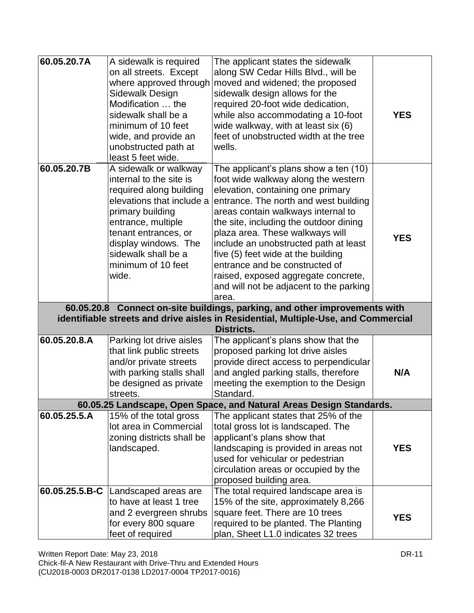| 60.05.20.7A                                                                        | A sidewalk is required    | The applicant states the sidewalk                                                                           |            |
|------------------------------------------------------------------------------------|---------------------------|-------------------------------------------------------------------------------------------------------------|------------|
|                                                                                    | on all streets. Except    | along SW Cedar Hills Blvd., will be                                                                         |            |
|                                                                                    | where approved through    | moved and widened; the proposed                                                                             |            |
|                                                                                    | Sidewalk Design           | sidewalk design allows for the                                                                              |            |
|                                                                                    | Modification  the         | required 20-foot wide dedication,                                                                           |            |
|                                                                                    | sidewalk shall be a       | while also accommodating a 10-foot                                                                          | <b>YES</b> |
|                                                                                    | minimum of 10 feet        | wide walkway, with at least six (6)                                                                         |            |
|                                                                                    | wide, and provide an      | feet of unobstructed width at the tree                                                                      |            |
|                                                                                    | unobstructed path at      | wells.                                                                                                      |            |
|                                                                                    | least 5 feet wide.        |                                                                                                             |            |
| 60.05.20.7B                                                                        | A sidewalk or walkway     | The applicant's plans show a ten (10)                                                                       |            |
|                                                                                    | internal to the site is   | foot wide walkway along the western                                                                         |            |
|                                                                                    | required along building   | elevation, containing one primary                                                                           |            |
|                                                                                    | elevations that include a | entrance. The north and west building                                                                       |            |
|                                                                                    | primary building          | areas contain walkways internal to                                                                          |            |
|                                                                                    | entrance, multiple        | the site, including the outdoor dining                                                                      |            |
|                                                                                    | tenant entrances, or      | plaza area. These walkways will                                                                             | <b>YES</b> |
|                                                                                    | display windows. The      | include an unobstructed path at least                                                                       |            |
|                                                                                    | sidewalk shall be a       | five (5) feet wide at the building                                                                          |            |
|                                                                                    | minimum of 10 feet        | entrance and be constructed of                                                                              |            |
|                                                                                    | wide.                     | raised, exposed aggregate concrete,                                                                         |            |
|                                                                                    |                           | and will not be adjacent to the parking                                                                     |            |
|                                                                                    |                           | area.                                                                                                       |            |
|                                                                                    |                           | 60.05.20.8 Connect on-site buildings, parking, and other improvements with                                  |            |
| identifiable streets and drive aisles in Residential, Multiple-Use, and Commercial |                           |                                                                                                             |            |
|                                                                                    |                           | Districts.                                                                                                  |            |
| 60.05.20.8.A                                                                       | Parking lot drive aisles  | The applicant's plans show that the                                                                         |            |
|                                                                                    | that link public streets  | proposed parking lot drive aisles                                                                           |            |
|                                                                                    | and/or private streets    | provide direct access to perpendicular                                                                      | N/A        |
|                                                                                    | with parking stalls shall | and angled parking stalls, therefore                                                                        |            |
|                                                                                    | be designed as private    | meeting the exemption to the Design                                                                         |            |
|                                                                                    | streets.                  | Standard.                                                                                                   |            |
| 60.05.25.5.A                                                                       | 15% of the total gross    | 60.05.25 Landscape, Open Space, and Natural Areas Design Standards.<br>The applicant states that 25% of the |            |
|                                                                                    | lot area in Commercial    | total gross lot is landscaped. The                                                                          |            |
|                                                                                    | zoning districts shall be | applicant's plans show that                                                                                 |            |
|                                                                                    | landscaped.               | landscaping is provided in areas not                                                                        | <b>YES</b> |
|                                                                                    |                           | used for vehicular or pedestrian                                                                            |            |
|                                                                                    |                           | circulation areas or occupied by the                                                                        |            |
|                                                                                    |                           | proposed building area.                                                                                     |            |
| 60.05.25.5.B-C                                                                     | Landscaped areas are      | The total required landscape area is                                                                        |            |
|                                                                                    | to have at least 1 tree   | 15% of the site, approximately 8,266                                                                        |            |
|                                                                                    | and 2 evergreen shrubs    | square feet. There are 10 trees                                                                             |            |
|                                                                                    | for every 800 square      | required to be planted. The Planting                                                                        | <b>YES</b> |
|                                                                                    |                           | plan, Sheet L1.0 indicates 32 trees                                                                         |            |
|                                                                                    | feet of required          |                                                                                                             |            |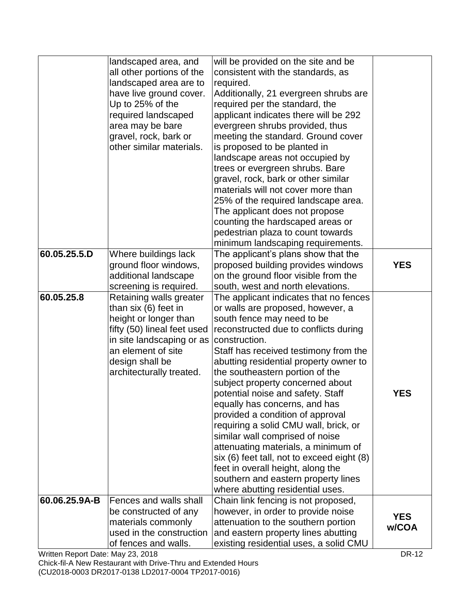|               | landscaped area, and        | will be provided on the site and be                                     |            |
|---------------|-----------------------------|-------------------------------------------------------------------------|------------|
|               | all other portions of the   | consistent with the standards, as                                       |            |
|               | landscaped area are to      | required.                                                               |            |
|               | have live ground cover.     | Additionally, 21 evergreen shrubs are                                   |            |
|               | Up to 25% of the            | required per the standard, the                                          |            |
|               | required landscaped         | applicant indicates there will be 292                                   |            |
|               | area may be bare            | evergreen shrubs provided, thus                                         |            |
|               | gravel, rock, bark or       | meeting the standard. Ground cover                                      |            |
|               | other similar materials.    | is proposed to be planted in                                            |            |
|               |                             | landscape areas not occupied by                                         |            |
|               |                             | trees or evergreen shrubs. Bare                                         |            |
|               |                             | gravel, rock, bark or other similar                                     |            |
|               |                             | materials will not cover more than                                      |            |
|               |                             | 25% of the required landscape area.                                     |            |
|               |                             | The applicant does not propose                                          |            |
|               |                             | counting the hardscaped areas or                                        |            |
|               |                             | pedestrian plaza to count towards                                       |            |
|               |                             | minimum landscaping requirements.                                       |            |
| 60.05.25.5.D  | Where buildings lack        | The applicant's plans show that the                                     |            |
|               | ground floor windows,       | proposed building provides windows                                      | <b>YES</b> |
|               | additional landscape        | on the ground floor visible from the                                    |            |
|               | screening is required.      | south, west and north elevations.                                       |            |
| 60.05.25.8    | Retaining walls greater     | The applicant indicates that no fences                                  |            |
|               | than six (6) feet in        | or walls are proposed, however, a                                       |            |
|               | height or longer than       | south fence may need to be                                              |            |
|               | fifty (50) lineal feet used | reconstructed due to conflicts during                                   |            |
|               | in site landscaping or as   | construction.                                                           |            |
|               | an element of site          | Staff has received testimony from the                                   |            |
|               | design shall be             | abutting residential property owner to                                  |            |
|               | architecturally treated.    | the southeastern portion of the                                         |            |
|               |                             | subject property concerned about                                        |            |
|               |                             | potential noise and safety. Staff                                       | <b>YES</b> |
|               |                             | equally has concerns, and has                                           |            |
|               |                             | provided a condition of approval                                        |            |
|               |                             | requiring a solid CMU wall, brick, or                                   |            |
|               |                             | similar wall comprised of noise                                         |            |
|               |                             | attenuating materials, a minimum of                                     |            |
|               |                             | six (6) feet tall, not to exceed eight (8)                              |            |
|               |                             | feet in overall height, along the                                       |            |
|               |                             | southern and eastern property lines<br>where abutting residential uses. |            |
| 60.06.25.9A-B | Fences and walls shall      | Chain link fencing is not proposed,                                     |            |
|               | be constructed of any       | however, in order to provide noise                                      |            |
|               | materials commonly          | attenuation to the southern portion                                     | <b>YES</b> |
|               | used in the construction    |                                                                         | w/COA      |
|               |                             | and eastern property lines abutting                                     |            |

Written Report Date: May 23, 2018 DR-12

Chick-fil-A New Restaurant with Drive-Thru and Extended Hours (CU2018-0003 DR2017-0138 LD2017-0004 TP2017-0016)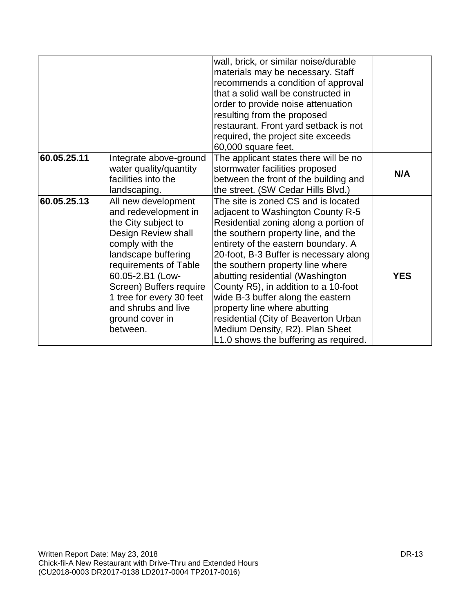|             |                                                                                                                                                                                                                                                                                               | wall, brick, or similar noise/durable<br>materials may be necessary. Staff<br>recommends a condition of approval<br>that a solid wall be constructed in<br>order to provide noise attenuation<br>resulting from the proposed<br>restaurant. Front yard setback is not<br>required, the project site exceeds<br>60,000 square feet.                                                                                                                                                                                                                 |            |
|-------------|-----------------------------------------------------------------------------------------------------------------------------------------------------------------------------------------------------------------------------------------------------------------------------------------------|----------------------------------------------------------------------------------------------------------------------------------------------------------------------------------------------------------------------------------------------------------------------------------------------------------------------------------------------------------------------------------------------------------------------------------------------------------------------------------------------------------------------------------------------------|------------|
| 60.05.25.11 | Integrate above-ground<br>water quality/quantity<br>facilities into the<br>landscaping.                                                                                                                                                                                                       | The applicant states there will be no<br>stormwater facilities proposed<br>between the front of the building and<br>the street. (SW Cedar Hills Blvd.)                                                                                                                                                                                                                                                                                                                                                                                             | N/A        |
| 60.05.25.13 | All new development<br>and redevelopment in<br>the City subject to<br>Design Review shall<br>comply with the<br>landscape buffering<br>requirements of Table<br>60.05-2.B1 (Low-<br>Screen) Buffers require<br>1 tree for every 30 feet<br>and shrubs and live<br>ground cover in<br>between. | The site is zoned CS and is located<br>adjacent to Washington County R-5<br>Residential zoning along a portion of<br>the southern property line, and the<br>entirety of the eastern boundary. A<br>20-foot, B-3 Buffer is necessary along<br>the southern property line where<br>abutting residential (Washington<br>County R5), in addition to a 10-foot<br>wide B-3 buffer along the eastern<br>property line where abutting<br>residential (City of Beaverton Urban<br>Medium Density, R2). Plan Sheet<br>L1.0 shows the buffering as required. | <b>YES</b> |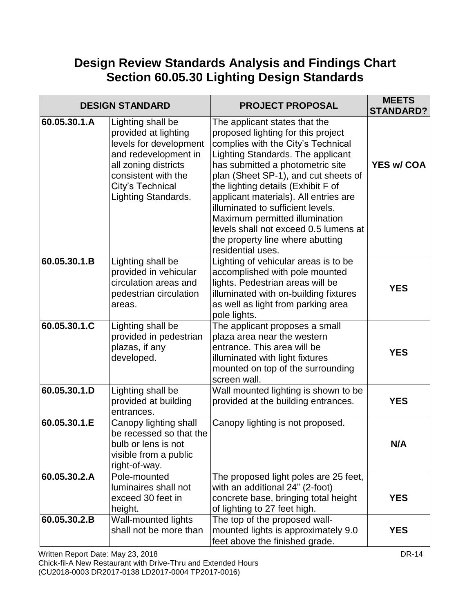# **Design Review Standards Analysis and Findings Chart Section 60.05.30 Lighting Design Standards**

|              | <b>DESIGN STANDARD</b>                                                                                                                                                                       | <b>PROJECT PROPOSAL</b>                                                                                                                                                                                                                                                                                                                                                                                                                                                            | <b>MEETS</b><br><b>STANDARD?</b> |
|--------------|----------------------------------------------------------------------------------------------------------------------------------------------------------------------------------------------|------------------------------------------------------------------------------------------------------------------------------------------------------------------------------------------------------------------------------------------------------------------------------------------------------------------------------------------------------------------------------------------------------------------------------------------------------------------------------------|----------------------------------|
| 60.05.30.1.A | Lighting shall be<br>provided at lighting<br>levels for development<br>and redevelopment in<br>all zoning districts<br>consistent with the<br>City's Technical<br><b>Lighting Standards.</b> | The applicant states that the<br>proposed lighting for this project<br>complies with the City's Technical<br>Lighting Standards. The applicant<br>has submitted a photometric site<br>plan (Sheet SP-1), and cut sheets of<br>the lighting details (Exhibit F of<br>applicant materials). All entries are<br>illuminated to sufficient levels.<br>Maximum permitted illumination<br>levels shall not exceed 0.5 lumens at<br>the property line where abutting<br>residential uses. | <b>YES w/ COA</b>                |
| 60.05.30.1.B | Lighting shall be<br>provided in vehicular<br>circulation areas and<br>pedestrian circulation<br>areas.                                                                                      | Lighting of vehicular areas is to be<br>accomplished with pole mounted<br>lights. Pedestrian areas will be<br>illuminated with on-building fixtures<br>as well as light from parking area<br>pole lights.                                                                                                                                                                                                                                                                          | <b>YES</b>                       |
| 60.05.30.1.C | Lighting shall be<br>provided in pedestrian<br>plazas, if any<br>developed.                                                                                                                  | The applicant proposes a small<br>plaza area near the western<br>entrance. This area will be<br>illuminated with light fixtures<br>mounted on top of the surrounding<br>screen wall.                                                                                                                                                                                                                                                                                               | <b>YES</b>                       |
| 60.05.30.1.D | Lighting shall be<br>provided at building<br>entrances.                                                                                                                                      | Wall mounted lighting is shown to be<br>provided at the building entrances.                                                                                                                                                                                                                                                                                                                                                                                                        | <b>YES</b>                       |
| 60.05.30.1.E | Canopy lighting shall<br>be recessed so that the<br>bulb or lens is not<br>visible from a public<br>right-of-way.                                                                            | Canopy lighting is not proposed.                                                                                                                                                                                                                                                                                                                                                                                                                                                   | N/A                              |
| 60.05.30.2.A | Pole-mounted<br>luminaires shall not<br>exceed 30 feet in<br>height.                                                                                                                         | The proposed light poles are 25 feet,<br>with an additional 24" (2-foot)<br>concrete base, bringing total height<br>of lighting to 27 feet high.                                                                                                                                                                                                                                                                                                                                   | <b>YES</b>                       |
| 60.05.30.2.B | Wall-mounted lights<br>shall not be more than                                                                                                                                                | The top of the proposed wall-<br>mounted lights is approximately 9.0<br>feet above the finished grade.                                                                                                                                                                                                                                                                                                                                                                             | <b>YES</b>                       |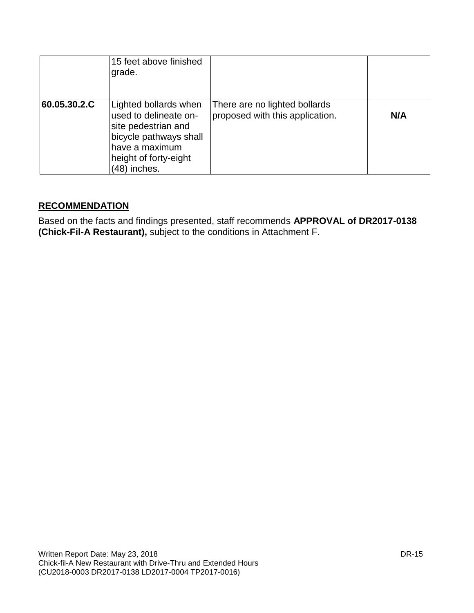|              | 15 feet above finished<br>grade.                                                                                                                           |                                                                  |     |
|--------------|------------------------------------------------------------------------------------------------------------------------------------------------------------|------------------------------------------------------------------|-----|
| 60.05.30.2.C | Lighted bollards when<br>used to delineate on-<br>site pedestrian and<br>bicycle pathways shall<br>have a maximum<br>height of forty-eight<br>(48) inches. | There are no lighted bollards<br>proposed with this application. | N/A |

### **RECOMMENDATION**

Based on the facts and findings presented, staff recommends **APPROVAL of DR2017-0138 (Chick-Fil-A Restaurant),** subject to the conditions in Attachment F.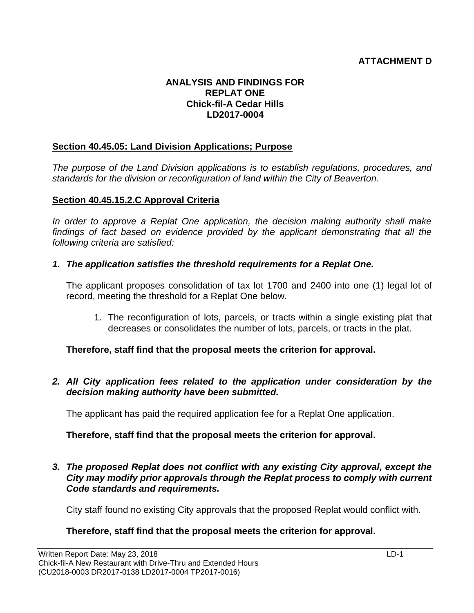### **ATTACHMENT D**

#### **ANALYSIS AND FINDINGS FOR REPLAT ONE Chick-fil-A Cedar Hills LD2017-0004**

#### **Section 40.45.05: Land Division Applications; Purpose**

*The purpose of the Land Division applications is to establish regulations, procedures, and standards for the division or reconfiguration of land within the City of Beaverton.* 

#### **Section 40.45.15.2.C Approval Criteria**

*In order to approve a Replat One application, the decision making authority shall make findings of fact based on evidence provided by the applicant demonstrating that all the following criteria are satisfied:*

*1. The application satisfies the threshold requirements for a Replat One.*

The applicant proposes consolidation of tax lot 1700 and 2400 into one (1) legal lot of record, meeting the threshold for a Replat One below.

1. The reconfiguration of lots, parcels, or tracts within a single existing plat that decreases or consolidates the number of lots, parcels, or tracts in the plat.

**Therefore, staff find that the proposal meets the criterion for approval.**

*2. All City application fees related to the application under consideration by the decision making authority have been submitted.*

The applicant has paid the required application fee for a Replat One application.

**Therefore, staff find that the proposal meets the criterion for approval.**

*3. The proposed Replat does not conflict with any existing City approval, except the City may modify prior approvals through the Replat process to comply with current Code standards and requirements.*

City staff found no existing City approvals that the proposed Replat would conflict with.

### **Therefore, staff find that the proposal meets the criterion for approval.**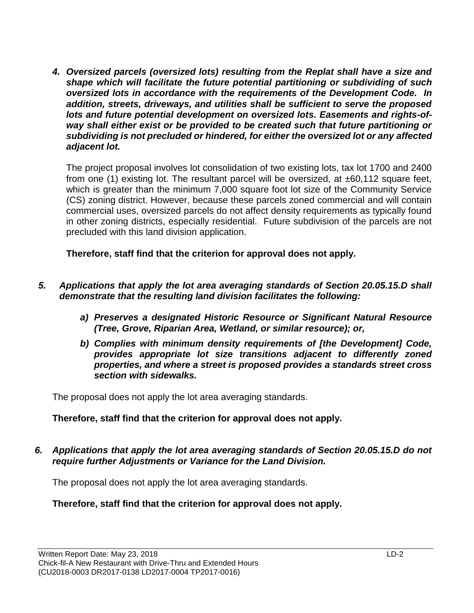*4. Oversized parcels (oversized lots) resulting from the Replat shall have a size and shape which will facilitate the future potential partitioning or subdividing of such oversized lots in accordance with the requirements of the Development Code. In addition, streets, driveways, and utilities shall be sufficient to serve the proposed lots and future potential development on oversized lots. Easements and rights-ofway shall either exist or be provided to be created such that future partitioning or subdividing is not precluded or hindered, for either the oversized lot or any affected adjacent lot.*

The project proposal involves lot consolidation of two existing lots, tax lot 1700 and 2400 from one (1) existing lot. The resultant parcel will be oversized, at  $\pm 60,112$  square feet, which is greater than the minimum 7,000 square foot lot size of the Community Service (CS) zoning district. However, because these parcels zoned commercial and will contain commercial uses, oversized parcels do not affect density requirements as typically found in other zoning districts, especially residential. Future subdivision of the parcels are not precluded with this land division application.

**Therefore, staff find that the criterion for approval does not apply.**

- *5. Applications that apply the lot area averaging standards of Section 20.05.15.D shall demonstrate that the resulting land division facilitates the following:*
	- *a) Preserves a designated Historic Resource or Significant Natural Resource (Tree, Grove, Riparian Area, Wetland, or similar resource); or,*
	- *b) Complies with minimum density requirements of [the Development] Code, provides appropriate lot size transitions adjacent to differently zoned properties, and where a street is proposed provides a standards street cross section with sidewalks.*

The proposal does not apply the lot area averaging standards.

### **Therefore, staff find that the criterion for approval does not apply.**

*6. Applications that apply the lot area averaging standards of Section 20.05.15.D do not require further Adjustments or Variance for the Land Division.*

The proposal does not apply the lot area averaging standards.

**Therefore, staff find that the criterion for approval does not apply.**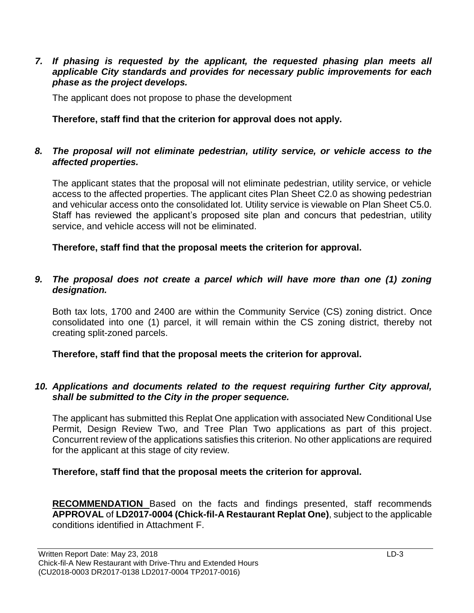#### *7. If phasing is requested by the applicant, the requested phasing plan meets all applicable City standards and provides for necessary public improvements for each phase as the project develops.*

The applicant does not propose to phase the development

### **Therefore, staff find that the criterion for approval does not apply.**

### *8. The proposal will not eliminate pedestrian, utility service, or vehicle access to the affected properties.*

The applicant states that the proposal will not eliminate pedestrian, utility service, or vehicle access to the affected properties. The applicant cites Plan Sheet C2.0 as showing pedestrian and vehicular access onto the consolidated lot. Utility service is viewable on Plan Sheet C5.0. Staff has reviewed the applicant's proposed site plan and concurs that pedestrian, utility service, and vehicle access will not be eliminated.

**Therefore, staff find that the proposal meets the criterion for approval.**

#### *9. The proposal does not create a parcel which will have more than one (1) zoning designation.*

Both tax lots, 1700 and 2400 are within the Community Service (CS) zoning district. Once consolidated into one (1) parcel, it will remain within the CS zoning district, thereby not creating split-zoned parcels.

**Therefore, staff find that the proposal meets the criterion for approval.**

#### *10. Applications and documents related to the request requiring further City approval, shall be submitted to the City in the proper sequence.*

The applicant has submitted this Replat One application with associated New Conditional Use Permit, Design Review Two, and Tree Plan Two applications as part of this project. Concurrent review of the applications satisfies this criterion. No other applications are required for the applicant at this stage of city review.

**Therefore, staff find that the proposal meets the criterion for approval.**

**RECOMMENDATION** Based on the facts and findings presented, staff recommends **APPROVAL** of **LD2017-0004 (Chick-fil-A Restaurant Replat One)**, subject to the applicable conditions identified in Attachment F.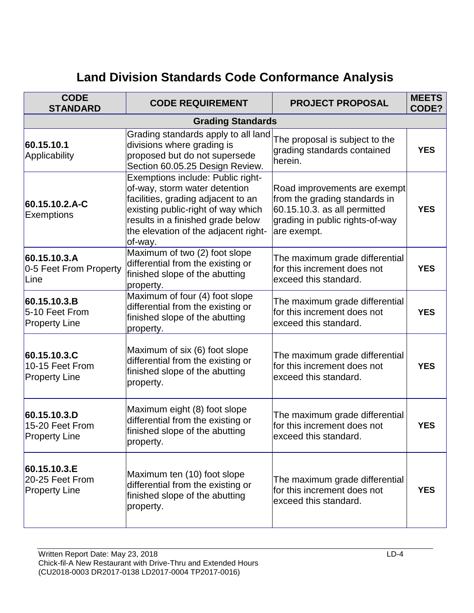# **Land Division Standards Code Conformance Analysis**

| <b>CODE</b><br><b>STANDARD</b>                          | <b>CODE REQUIREMENT</b>                                                                                                                                                                                                                | <b>PROJECT PROPOSAL</b>                                                                                                                         | <b>MEETS</b><br>CODE? |
|---------------------------------------------------------|----------------------------------------------------------------------------------------------------------------------------------------------------------------------------------------------------------------------------------------|-------------------------------------------------------------------------------------------------------------------------------------------------|-----------------------|
|                                                         | <b>Grading Standards</b>                                                                                                                                                                                                               |                                                                                                                                                 |                       |
| 60.15.10.1<br>Applicability                             | Grading standards apply to all land<br>divisions where grading is<br>proposed but do not supersede<br>Section 60.05.25 Design Review.                                                                                                  | The proposal is subject to the<br>grading standards contained<br>herein.                                                                        | <b>YES</b>            |
| 60.15.10.2.A-C<br><b>Exemptions</b>                     | Exemptions include: Public right-<br>of-way, storm water detention<br>facilities, grading adjacent to an<br>existing public-right of way which<br>results in a finished grade below<br>the elevation of the adjacent right-<br>of-way. | Road improvements are exempt<br>from the grading standards in<br>60.15.10.3. as all permitted<br>grading in public rights-of-way<br>are exempt. | <b>YES</b>            |
| 60.15.10.3.A<br>0-5 Feet From Property<br>Line          | Maximum of two (2) foot slope<br>differential from the existing or<br>finished slope of the abutting<br>property.                                                                                                                      | The maximum grade differential<br>for this increment does not<br>exceed this standard.                                                          | <b>YES</b>            |
| 60.15.10.3.B<br>5-10 Feet From<br><b>Property Line</b>  | Maximum of four (4) foot slope<br>differential from the existing or<br>finished slope of the abutting<br>property.                                                                                                                     | The maximum grade differential<br>for this increment does not<br>exceed this standard.                                                          | <b>YES</b>            |
| 60.15.10.3.C<br>10-15 Feet From<br><b>Property Line</b> | Maximum of six (6) foot slope<br>differential from the existing or<br>finished slope of the abutting<br>property.                                                                                                                      | The maximum grade differential<br>for this increment does not<br>exceed this standard.                                                          | <b>YES</b>            |
| 60.15.10.3.D<br>15-20 Feet From<br><b>Property Line</b> | Maximum eight (8) foot slope<br>differential from the existing or<br>finished slope of the abutting<br>property.                                                                                                                       | The maximum grade differential<br>for this increment does not<br>exceed this standard.                                                          | <b>YES</b>            |
| 60.15.10.3.E<br>20-25 Feet From<br><b>Property Line</b> | Maximum ten (10) foot slope<br>differential from the existing or<br>finished slope of the abutting<br>property.                                                                                                                        | The maximum grade differential<br>for this increment does not<br>exceed this standard.                                                          | <b>YES</b>            |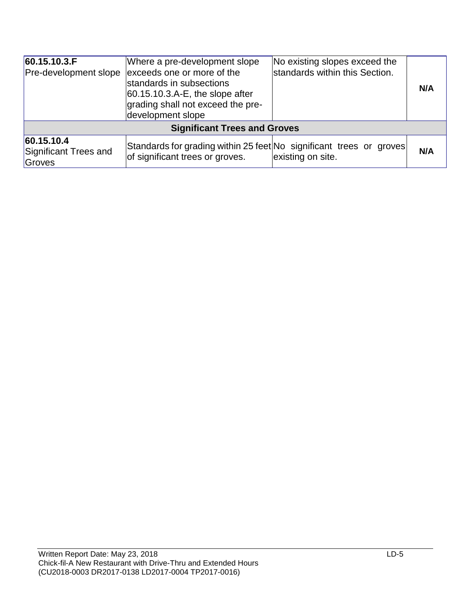| 60.15.10.3.F <br><b>Pre-development slope</b>  | Where a pre-development slope<br>exceeds one or more of the<br>standards in subsections<br>$ 60.15.10.3.A-E$ , the slope after<br>grading shall not exceed the pre-<br>development slope | No existing slopes exceed the<br>standards within this Section. | N/A |  |  |
|------------------------------------------------|------------------------------------------------------------------------------------------------------------------------------------------------------------------------------------------|-----------------------------------------------------------------|-----|--|--|
|                                                | <b>Significant Trees and Groves</b>                                                                                                                                                      |                                                                 |     |  |  |
| 60.15.10.4 <br>Significant Trees and<br>Groves | Standards for grading within 25 feet No significant trees or groves<br>of significant trees or groves.                                                                                   | existing on site.                                               | N/A |  |  |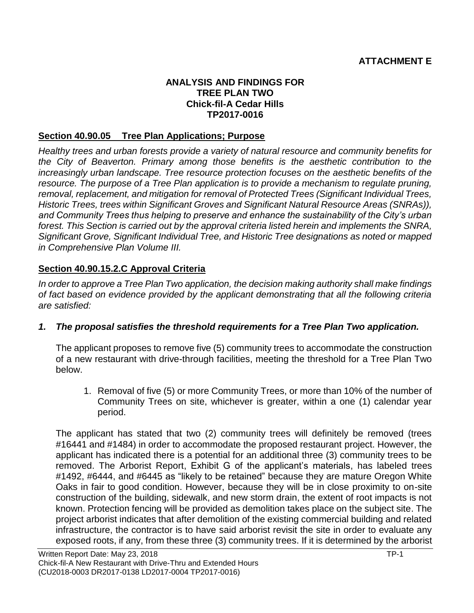#### **ANALYSIS AND FINDINGS FOR TREE PLAN TWO Chick-fil-A Cedar Hills TP2017-0016**

### **Section 40.90.05 Tree Plan Applications; Purpose**

*Healthy trees and urban forests provide a variety of natural resource and community benefits for the City of Beaverton. Primary among those benefits is the aesthetic contribution to the increasingly urban landscape. Tree resource protection focuses on the aesthetic benefits of the resource. The purpose of a Tree Plan application is to provide a mechanism to regulate pruning, removal, replacement, and mitigation for removal of Protected Trees (Significant Individual Trees, Historic Trees, trees within Significant Groves and Significant Natural Resource Areas (SNRAs)), and Community Trees thus helping to preserve and enhance the sustainability of the City's urban forest. This Section is carried out by the approval criteria listed herein and implements the SNRA, Significant Grove, Significant Individual Tree, and Historic Tree designations as noted or mapped in Comprehensive Plan Volume III.*

### **Section 40.90.15.2.C Approval Criteria**

*In order to approve a Tree Plan Two application, the decision making authority shall make findings of fact based on evidence provided by the applicant demonstrating that all the following criteria are satisfied:*

### *1. The proposal satisfies the threshold requirements for a Tree Plan Two application.*

The applicant proposes to remove five (5) community trees to accommodate the construction of a new restaurant with drive-through facilities, meeting the threshold for a Tree Plan Two below.

1. Removal of five (5) or more Community Trees, or more than 10% of the number of Community Trees on site, whichever is greater, within a one (1) calendar year period.

The applicant has stated that two (2) community trees will definitely be removed (trees #16441 and #1484) in order to accommodate the proposed restaurant project. However, the applicant has indicated there is a potential for an additional three (3) community trees to be removed. The Arborist Report, Exhibit G of the applicant's materials, has labeled trees #1492, #6444, and #6445 as "likely to be retained" because they are mature Oregon White Oaks in fair to good condition. However, because they will be in close proximity to on-site construction of the building, sidewalk, and new storm drain, the extent of root impacts is not known. Protection fencing will be provided as demolition takes place on the subject site. The project arborist indicates that after demolition of the existing commercial building and related infrastructure, the contractor is to have said arborist revisit the site in order to evaluate any exposed roots, if any, from these three (3) community trees. If it is determined by the arborist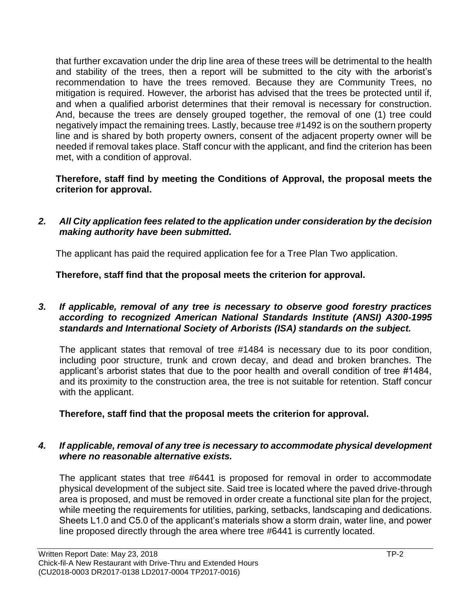that further excavation under the drip line area of these trees will be detrimental to the health and stability of the trees, then a report will be submitted to the city with the arborist's recommendation to have the trees removed. Because they are Community Trees, no mitigation is required. However, the arborist has advised that the trees be protected until if, and when a qualified arborist determines that their removal is necessary for construction. And, because the trees are densely grouped together, the removal of one (1) tree could negatively impact the remaining trees. Lastly, because tree #1492 is on the southern property line and is shared by both property owners, consent of the adjacent property owner will be needed if removal takes place. Staff concur with the applicant, and find the criterion has been met, with a condition of approval.

### **Therefore, staff find by meeting the Conditions of Approval, the proposal meets the criterion for approval.**

*2. All City application fees related to the application under consideration by the decision making authority have been submitted.*

The applicant has paid the required application fee for a Tree Plan Two application.

**Therefore, staff find that the proposal meets the criterion for approval.**

### *3. If applicable, removal of any tree is necessary to observe good forestry practices according to recognized American National Standards Institute (ANSI) A300-1995 standards and International Society of Arborists (ISA) standards on the subject.*

The applicant states that removal of tree #1484 is necessary due to its poor condition, including poor structure, trunk and crown decay, and dead and broken branches. The applicant's arborist states that due to the poor health and overall condition of tree #1484, and its proximity to the construction area, the tree is not suitable for retention. Staff concur with the applicant.

# **Therefore, staff find that the proposal meets the criterion for approval.**

### *4. If applicable, removal of any tree is necessary to accommodate physical development where no reasonable alternative exists.*

The applicant states that tree #6441 is proposed for removal in order to accommodate physical development of the subject site. Said tree is located where the paved drive-through area is proposed, and must be removed in order create a functional site plan for the project, while meeting the requirements for utilities, parking, setbacks, landscaping and dedications. Sheets L1.0 and C5.0 of the applicant's materials show a storm drain, water line, and power line proposed directly through the area where tree #6441 is currently located.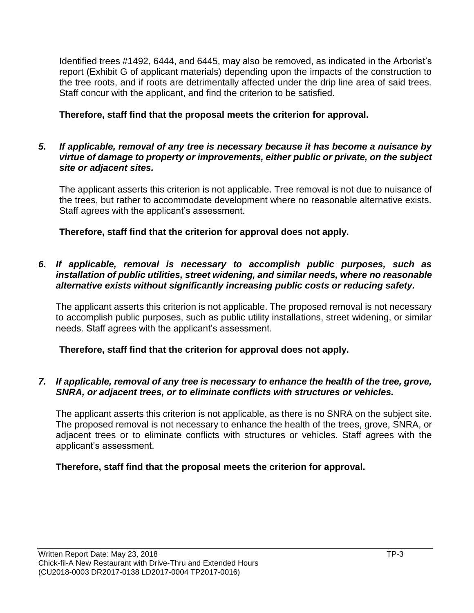Identified trees #1492, 6444, and 6445, may also be removed, as indicated in the Arborist's report (Exhibit G of applicant materials) depending upon the impacts of the construction to the tree roots, and if roots are detrimentally affected under the drip line area of said trees. Staff concur with the applicant, and find the criterion to be satisfied.

**Therefore, staff find that the proposal meets the criterion for approval.**

### *5. If applicable, removal of any tree is necessary because it has become a nuisance by virtue of damage to property or improvements, either public or private, on the subject site or adjacent sites.*

The applicant asserts this criterion is not applicable. Tree removal is not due to nuisance of the trees, but rather to accommodate development where no reasonable alternative exists. Staff agrees with the applicant's assessment.

**Therefore, staff find that the criterion for approval does not apply.**

### *6. If applicable, removal is necessary to accomplish public purposes, such as installation of public utilities, street widening, and similar needs, where no reasonable alternative exists without significantly increasing public costs or reducing safety.*

The applicant asserts this criterion is not applicable. The proposed removal is not necessary to accomplish public purposes, such as public utility installations, street widening, or similar needs. Staff agrees with the applicant's assessment.

**Therefore, staff find that the criterion for approval does not apply.**

### *7. If applicable, removal of any tree is necessary to enhance the health of the tree, grove, SNRA, or adjacent trees, or to eliminate conflicts with structures or vehicles.*

The applicant asserts this criterion is not applicable, as there is no SNRA on the subject site. The proposed removal is not necessary to enhance the health of the trees, grove, SNRA, or adjacent trees or to eliminate conflicts with structures or vehicles. Staff agrees with the applicant's assessment.

# **Therefore, staff find that the proposal meets the criterion for approval.**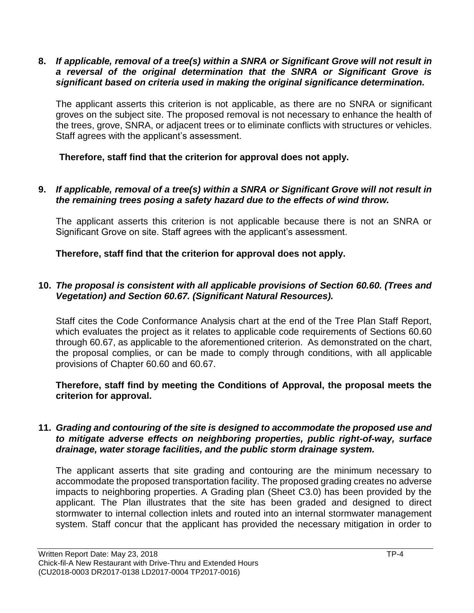**8.** *If applicable, removal of a tree(s) within a SNRA or Significant Grove will not result in a reversal of the original determination that the SNRA or Significant Grove is significant based on criteria used in making the original significance determination.*

The applicant asserts this criterion is not applicable, as there are no SNRA or significant groves on the subject site. The proposed removal is not necessary to enhance the health of the trees, grove, SNRA, or adjacent trees or to eliminate conflicts with structures or vehicles. Staff agrees with the applicant's assessment.

**Therefore, staff find that the criterion for approval does not apply.**

### **9.** *If applicable, removal of a tree(s) within a SNRA or Significant Grove will not result in the remaining trees posing a safety hazard due to the effects of wind throw.*

The applicant asserts this criterion is not applicable because there is not an SNRA or Significant Grove on site. Staff agrees with the applicant's assessment.

**Therefore, staff find that the criterion for approval does not apply.**

### **10.** *The proposal is consistent with all applicable provisions of Section 60.60. (Trees and Vegetation) and Section 60.67. (Significant Natural Resources).*

Staff cites the Code Conformance Analysis chart at the end of the Tree Plan Staff Report, which evaluates the project as it relates to applicable code requirements of Sections 60.60 through 60.67, as applicable to the aforementioned criterion. As demonstrated on the chart, the proposal complies, or can be made to comply through conditions, with all applicable provisions of Chapter 60.60 and 60.67.

**Therefore, staff find by meeting the Conditions of Approval, the proposal meets the criterion for approval.**

#### **11.** *Grading and contouring of the site is designed to accommodate the proposed use and to mitigate adverse effects on neighboring properties, public right-of-way, surface drainage, water storage facilities, and the public storm drainage system.*

The applicant asserts that site grading and contouring are the minimum necessary to accommodate the proposed transportation facility. The proposed grading creates no adverse impacts to neighboring properties. A Grading plan (Sheet C3.0) has been provided by the applicant. The Plan illustrates that the site has been graded and designed to direct stormwater to internal collection inlets and routed into an internal stormwater management system. Staff concur that the applicant has provided the necessary mitigation in order to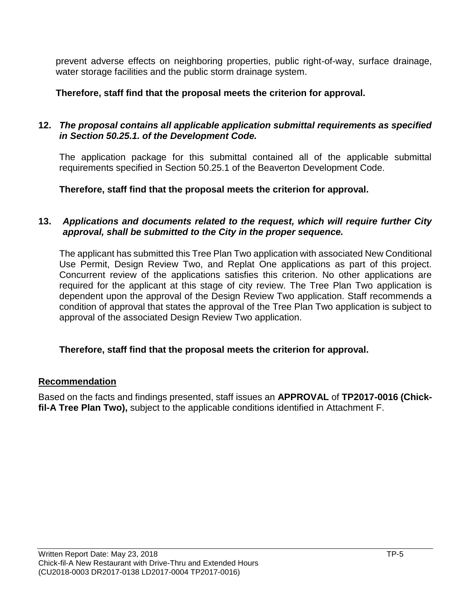prevent adverse effects on neighboring properties, public right-of-way, surface drainage, water storage facilities and the public storm drainage system.

**Therefore, staff find that the proposal meets the criterion for approval.**

### **12.** *The proposal contains all applicable application submittal requirements as specified in Section 50.25.1. of the Development Code.*

The application package for this submittal contained all of the applicable submittal requirements specified in Section 50.25.1 of the Beaverton Development Code.

**Therefore, staff find that the proposal meets the criterion for approval.**

### **13.** *Applications and documents related to the request, which will require further City approval, shall be submitted to the City in the proper sequence.*

The applicant has submitted this Tree Plan Two application with associated New Conditional Use Permit, Design Review Two, and Replat One applications as part of this project. Concurrent review of the applications satisfies this criterion. No other applications are required for the applicant at this stage of city review. The Tree Plan Two application is dependent upon the approval of the Design Review Two application. Staff recommends a condition of approval that states the approval of the Tree Plan Two application is subject to approval of the associated Design Review Two application.

### **Therefore, staff find that the proposal meets the criterion for approval.**

### **Recommendation**

Based on the facts and findings presented, staff issues an **APPROVAL** of **TP2017-0016 (Chickfil-A Tree Plan Two),** subject to the applicable conditions identified in Attachment F.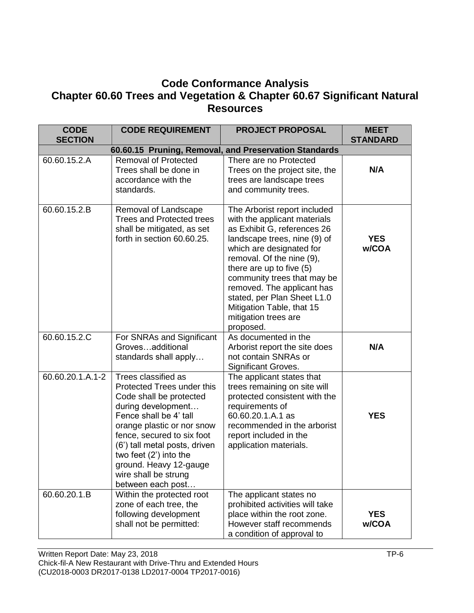# **Code Conformance Analysis Chapter 60.60 Trees and Vegetation & Chapter 60.67 Significant Natural Resources**

| <b>CODE</b><br><b>SECTION</b> | <b>CODE REQUIREMENT</b>                                                                                                                                                                                                                                                                                                      | <b>PROJECT PROPOSAL</b>                                                                                                                                                                                                                                                                                                                                                        | <b>MEET</b><br><b>STANDARD</b> |  |
|-------------------------------|------------------------------------------------------------------------------------------------------------------------------------------------------------------------------------------------------------------------------------------------------------------------------------------------------------------------------|--------------------------------------------------------------------------------------------------------------------------------------------------------------------------------------------------------------------------------------------------------------------------------------------------------------------------------------------------------------------------------|--------------------------------|--|
|                               | 60.60.15 Pruning, Removal, and Preservation Standards                                                                                                                                                                                                                                                                        |                                                                                                                                                                                                                                                                                                                                                                                |                                |  |
| 60.60.15.2.A                  | <b>Removal of Protected</b><br>Trees shall be done in<br>accordance with the<br>standards.                                                                                                                                                                                                                                   | There are no Protected<br>Trees on the project site, the<br>trees are landscape trees<br>and community trees.                                                                                                                                                                                                                                                                  | N/A                            |  |
| 60.60.15.2.B                  | Removal of Landscape<br><b>Trees and Protected trees</b><br>shall be mitigated, as set<br>forth in section 60.60.25.                                                                                                                                                                                                         | The Arborist report included<br>with the applicant materials<br>as Exhibit G, references 26<br>landscape trees, nine (9) of<br>which are designated for<br>removal. Of the nine (9),<br>there are up to five (5)<br>community trees that may be<br>removed. The applicant has<br>stated, per Plan Sheet L1.0<br>Mitigation Table, that 15<br>mitigation trees are<br>proposed. | <b>YES</b><br>w/COA            |  |
| 60.60.15.2.C                  | For SNRAs and Significant<br>Grovesadditional<br>standards shall apply                                                                                                                                                                                                                                                       | As documented in the<br>Arborist report the site does<br>not contain SNRAs or<br>Significant Groves.                                                                                                                                                                                                                                                                           | N/A                            |  |
| 60.60.20.1.A.1-2              | Trees classified as<br>Protected Trees under this<br>Code shall be protected<br>during development<br>Fence shall be 4' tall<br>orange plastic or nor snow<br>fence, secured to six foot<br>(6') tall metal posts, driven<br>two feet $(2')$ into the<br>ground. Heavy 12-gauge<br>wire shall be strung<br>between each post | The applicant states that<br>trees remaining on site will<br>protected consistent with the<br>requirements of<br>60.60.20.1.A.1 as<br>recommended in the arborist<br>report included in the<br>application materials.                                                                                                                                                          | <b>YES</b>                     |  |
| $60.60.20.1.\overline{B}$     | Within the protected root<br>zone of each tree, the<br>following development<br>shall not be permitted:                                                                                                                                                                                                                      | The applicant states no<br>prohibited activities will take<br>place within the root zone.<br>However staff recommends<br>a condition of approval to                                                                                                                                                                                                                            | <b>YES</b><br>w/COA            |  |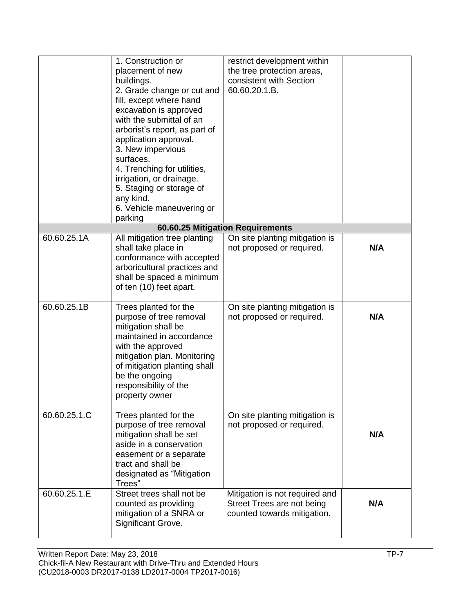|              | 1. Construction or<br>placement of new<br>buildings.<br>2. Grade change or cut and<br>fill, except where hand<br>excavation is approved<br>with the submittal of an<br>arborist's report, as part of<br>application approval.<br>3. New impervious<br>surfaces.<br>4. Trenching for utilities,<br>irrigation, or drainage.<br>5. Staging or storage of<br>any kind.<br>6. Vehicle maneuvering or<br>parking | restrict development within<br>the tree protection areas,<br>consistent with Section<br>60.60.20.1.B. |     |
|--------------|-------------------------------------------------------------------------------------------------------------------------------------------------------------------------------------------------------------------------------------------------------------------------------------------------------------------------------------------------------------------------------------------------------------|-------------------------------------------------------------------------------------------------------|-----|
|              |                                                                                                                                                                                                                                                                                                                                                                                                             | 60.60.25 Mitigation Requirements                                                                      |     |
| 60.60.25.1A  | All mitigation tree planting<br>shall take place in<br>conformance with accepted<br>arboricultural practices and<br>shall be spaced a minimum<br>of ten (10) feet apart.                                                                                                                                                                                                                                    | On site planting mitigation is<br>not proposed or required.                                           | N/A |
| 60.60.25.1B  | Trees planted for the<br>purpose of tree removal<br>mitigation shall be<br>maintained in accordance<br>with the approved<br>mitigation plan. Monitoring<br>of mitigation planting shall<br>be the ongoing<br>responsibility of the<br>property owner                                                                                                                                                        | On site planting mitigation is<br>not proposed or required.                                           | N/A |
| 60.60.25.1.C | Trees planted for the<br>purpose of tree removal<br>mitigation shall be set<br>aside in a conservation<br>easement or a separate<br>tract and shall be<br>designated as "Mitigation<br>Trees"                                                                                                                                                                                                               | On site planting mitigation is<br>not proposed or required.                                           | N/A |
| 60.60.25.1.E | Street trees shall not be<br>counted as providing<br>mitigation of a SNRA or<br>Significant Grove.                                                                                                                                                                                                                                                                                                          | Mitigation is not required and<br>Street Trees are not being<br>counted towards mitigation.           | N/A |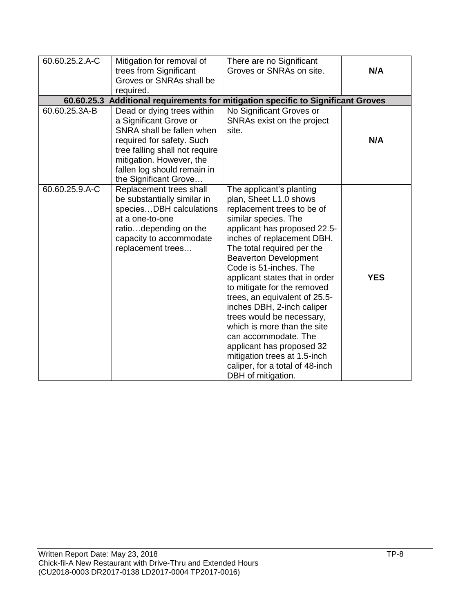| 60.60.25.2.A-C                                                                   | Mitigation for removal of                                                                                                                                                                                                            | There are no Significant                                                                                                                                                                                                                                                                                                                                                                                                                                                                                                                                                                                 |            |
|----------------------------------------------------------------------------------|--------------------------------------------------------------------------------------------------------------------------------------------------------------------------------------------------------------------------------------|----------------------------------------------------------------------------------------------------------------------------------------------------------------------------------------------------------------------------------------------------------------------------------------------------------------------------------------------------------------------------------------------------------------------------------------------------------------------------------------------------------------------------------------------------------------------------------------------------------|------------|
|                                                                                  | trees from Significant                                                                                                                                                                                                               | Groves or SNRAs on site.                                                                                                                                                                                                                                                                                                                                                                                                                                                                                                                                                                                 | N/A        |
|                                                                                  | Groves or SNRAs shall be                                                                                                                                                                                                             |                                                                                                                                                                                                                                                                                                                                                                                                                                                                                                                                                                                                          |            |
|                                                                                  | required.                                                                                                                                                                                                                            |                                                                                                                                                                                                                                                                                                                                                                                                                                                                                                                                                                                                          |            |
| 60.60.25.3 Additional requirements for mitigation specific to Significant Groves |                                                                                                                                                                                                                                      |                                                                                                                                                                                                                                                                                                                                                                                                                                                                                                                                                                                                          |            |
| 60.60.25.3A-B                                                                    | Dead or dying trees within<br>a Significant Grove or<br>SNRA shall be fallen when<br>required for safety. Such<br>tree falling shall not require<br>mitigation. However, the<br>fallen log should remain in<br>the Significant Grove | No Significant Groves or<br>SNRAs exist on the project<br>site.                                                                                                                                                                                                                                                                                                                                                                                                                                                                                                                                          | N/A        |
| 60.60.25.9.A-C                                                                   | Replacement trees shall<br>be substantially similar in<br>speciesDBH calculations<br>at a one-to-one<br>ratiodepending on the<br>capacity to accommodate<br>replacement trees                                                        | The applicant's planting<br>plan, Sheet L1.0 shows<br>replacement trees to be of<br>similar species. The<br>applicant has proposed 22.5-<br>inches of replacement DBH.<br>The total required per the<br><b>Beaverton Development</b><br>Code is 51-inches. The<br>applicant states that in order<br>to mitigate for the removed<br>trees, an equivalent of 25.5-<br>inches DBH, 2-inch caliper<br>trees would be necessary,<br>which is more than the site<br>can accommodate. The<br>applicant has proposed 32<br>mitigation trees at 1.5-inch<br>caliper, for a total of 48-inch<br>DBH of mitigation. | <b>YES</b> |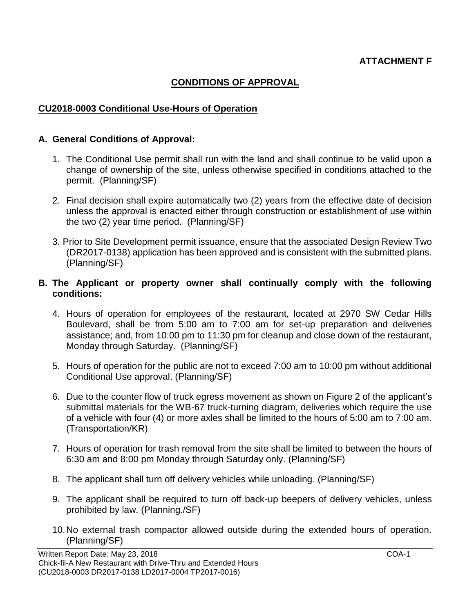### **CONDITIONS OF APPROVAL**

#### **CU2018-0003 Conditional Use-Hours of Operation**

#### **A. General Conditions of Approval:**

- 1. The Conditional Use permit shall run with the land and shall continue to be valid upon a change of ownership of the site, unless otherwise specified in conditions attached to the permit. (Planning/SF)
- 2. Final decision shall expire automatically two (2) years from the effective date of decision unless the approval is enacted either through construction or establishment of use within the two (2) year time period. (Planning/SF)
- 3. Prior to Site Development permit issuance, ensure that the associated Design Review Two (DR2017-0138) application has been approved and is consistent with the submitted plans. (Planning/SF)

#### **B. The Applicant or property owner shall continually comply with the following conditions:**

- 4. Hours of operation for employees of the restaurant, located at 2970 SW Cedar Hills Boulevard, shall be from 5:00 am to 7:00 am for set-up preparation and deliveries assistance; and, from 10:00 pm to 11:30 pm for cleanup and close down of the restaurant, Monday through Saturday. (Planning/SF)
- 5. Hours of operation for the public are not to exceed 7:00 am to 10:00 pm without additional Conditional Use approval. (Planning/SF)
- 6. Due to the counter flow of truck egress movement as shown on Figure 2 of the applicant's submittal materials for the WB-67 truck-turning diagram, deliveries which require the use of a vehicle with four (4) or more axles shall be limited to the hours of 5:00 am to 7:00 am. (Transportation/KR)
- 7. Hours of operation for trash removal from the site shall be limited to between the hours of 6:30 am and 8:00 pm Monday through Saturday only. (Planning/SF)
- 8. The applicant shall turn off delivery vehicles while unloading. (Planning/SF)
- 9. The applicant shall be required to turn off back-up beepers of delivery vehicles, unless prohibited by law. (Planning./SF)
- 10.No external trash compactor allowed outside during the extended hours of operation. (Planning/SF)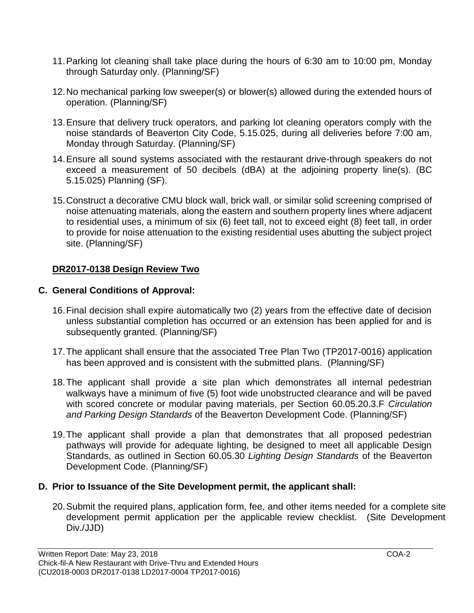- 11.Parking lot cleaning shall take place during the hours of 6:30 am to 10:00 pm, Monday through Saturday only. (Planning/SF)
- 12.No mechanical parking low sweeper(s) or blower(s) allowed during the extended hours of operation. (Planning/SF)
- 13.Ensure that delivery truck operators, and parking lot cleaning operators comply with the noise standards of Beaverton City Code, 5.15.025, during all deliveries before 7:00 am, Monday through Saturday. (Planning/SF)
- 14.Ensure all sound systems associated with the restaurant drive-through speakers do not exceed a measurement of 50 decibels (dBA) at the adjoining property line(s). (BC 5.15.025) Planning (SF).
- 15.Construct a decorative CMU block wall, brick wall, or similar solid screening comprised of noise attenuating materials, along the eastern and southern property lines where adjacent to residential uses, a minimum of six (6) feet tall, not to exceed eight (8) feet tall, in order to provide for noise attenuation to the existing residential uses abutting the subject project site. (Planning/SF)

# **DR2017-0138 Design Review Two**

# **C. General Conditions of Approval:**

- 16.Final decision shall expire automatically two (2) years from the effective date of decision unless substantial completion has occurred or an extension has been applied for and is subsequently granted. (Planning/SF)
- 17.The applicant shall ensure that the associated Tree Plan Two (TP2017-0016) application has been approved and is consistent with the submitted plans. (Planning/SF)
- 18.The applicant shall provide a site plan which demonstrates all internal pedestrian walkways have a minimum of five (5) foot wide unobstructed clearance and will be paved with scored concrete or modular paving materials, per Section 60.05.20.3.F *Circulation and Parking Design Standards* of the Beaverton Development Code. (Planning/SF)
- 19.The applicant shall provide a plan that demonstrates that all proposed pedestrian pathways will provide for adequate lighting, be designed to meet all applicable Design Standards, as outlined in Section 60.05.30 *Lighting Design Standards* of the Beaverton Development Code. (Planning/SF)

### **D. Prior to Issuance of the Site Development permit, the applicant shall:**

20.Submit the required plans, application form, fee, and other items needed for a complete site development permit application per the applicable review checklist. (Site Development Div./JJD)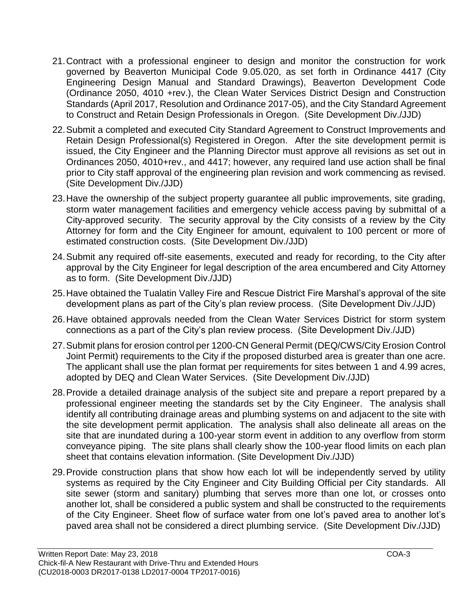- 21.Contract with a professional engineer to design and monitor the construction for work governed by Beaverton Municipal Code 9.05.020, as set forth in Ordinance 4417 (City Engineering Design Manual and Standard Drawings), Beaverton Development Code (Ordinance 2050, 4010 +rev.), the Clean Water Services District Design and Construction Standards (April 2017, Resolution and Ordinance 2017-05), and the City Standard Agreement to Construct and Retain Design Professionals in Oregon. (Site Development Div./JJD)
- 22.Submit a completed and executed City Standard Agreement to Construct Improvements and Retain Design Professional(s) Registered in Oregon. After the site development permit is issued, the City Engineer and the Planning Director must approve all revisions as set out in Ordinances 2050, 4010+rev., and 4417; however, any required land use action shall be final prior to City staff approval of the engineering plan revision and work commencing as revised. (Site Development Div./JJD)
- 23.Have the ownership of the subject property guarantee all public improvements, site grading, storm water management facilities and emergency vehicle access paving by submittal of a City-approved security. The security approval by the City consists of a review by the City Attorney for form and the City Engineer for amount, equivalent to 100 percent or more of estimated construction costs. (Site Development Div./JJD)
- 24.Submit any required off-site easements, executed and ready for recording, to the City after approval by the City Engineer for legal description of the area encumbered and City Attorney as to form. (Site Development Div./JJD)
- 25.Have obtained the Tualatin Valley Fire and Rescue District Fire Marshal's approval of the site development plans as part of the City's plan review process. (Site Development Div./JJD)
- 26.Have obtained approvals needed from the Clean Water Services District for storm system connections as a part of the City's plan review process. (Site Development Div./JJD)
- 27.Submit plans for erosion control per 1200-CN General Permit (DEQ/CWS/City Erosion Control Joint Permit) requirements to the City if the proposed disturbed area is greater than one acre. The applicant shall use the plan format per requirements for sites between 1 and 4.99 acres, adopted by DEQ and Clean Water Services. (Site Development Div./JJD)
- 28.Provide a detailed drainage analysis of the subject site and prepare a report prepared by a professional engineer meeting the standards set by the City Engineer. The analysis shall identify all contributing drainage areas and plumbing systems on and adjacent to the site with the site development permit application. The analysis shall also delineate all areas on the site that are inundated during a 100-year storm event in addition to any overflow from storm conveyance piping. The site plans shall clearly show the 100-year flood limits on each plan sheet that contains elevation information. (Site Development Div./JJD)
- 29.Provide construction plans that show how each lot will be independently served by utility systems as required by the City Engineer and City Building Official per City standards. All site sewer (storm and sanitary) plumbing that serves more than one lot, or crosses onto another lot, shall be considered a public system and shall be constructed to the requirements of the City Engineer. Sheet flow of surface water from one lot's paved area to another lot's paved area shall not be considered a direct plumbing service. (Site Development Div./JJD)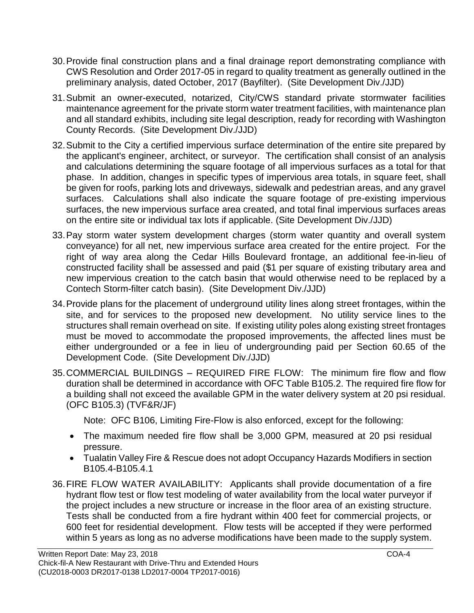- 30.Provide final construction plans and a final drainage report demonstrating compliance with CWS Resolution and Order 2017-05 in regard to quality treatment as generally outlined in the preliminary analysis, dated October, 2017 (Bayfilter). (Site Development Div./JJD)
- 31.Submit an owner-executed, notarized, City/CWS standard private stormwater facilities maintenance agreement for the private storm water treatment facilities, with maintenance plan and all standard exhibits, including site legal description, ready for recording with Washington County Records. (Site Development Div./JJD)
- 32.Submit to the City a certified impervious surface determination of the entire site prepared by the applicant's engineer, architect, or surveyor. The certification shall consist of an analysis and calculations determining the square footage of all impervious surfaces as a total for that phase. In addition, changes in specific types of impervious area totals, in square feet, shall be given for roofs, parking lots and driveways, sidewalk and pedestrian areas, and any gravel surfaces. Calculations shall also indicate the square footage of pre-existing impervious surfaces, the new impervious surface area created, and total final impervious surfaces areas on the entire site or individual tax lots if applicable. (Site Development Div./JJD)
- 33.Pay storm water system development charges (storm water quantity and overall system conveyance) for all net, new impervious surface area created for the entire project. For the right of way area along the Cedar Hills Boulevard frontage, an additional fee-in-lieu of constructed facility shall be assessed and paid (\$1 per square of existing tributary area and new impervious creation to the catch basin that would otherwise need to be replaced by a Contech Storm-filter catch basin). (Site Development Div./JJD)
- 34.Provide plans for the placement of underground utility lines along street frontages, within the site, and for services to the proposed new development. No utility service lines to the structures shall remain overhead on site. If existing utility poles along existing street frontages must be moved to accommodate the proposed improvements, the affected lines must be either undergrounded or a fee in lieu of undergrounding paid per Section 60.65 of the Development Code. (Site Development Div./JJD)
- 35.COMMERCIAL BUILDINGS REQUIRED FIRE FLOW: The minimum fire flow and flow duration shall be determined in accordance with OFC Table B105.2. The required fire flow for a building shall not exceed the available GPM in the water delivery system at 20 psi residual. (OFC B105.3) (TVF&R/JF)

Note: OFC B106, Limiting Fire-Flow is also enforced, except for the following:

- The maximum needed fire flow shall be 3,000 GPM, measured at 20 psi residual pressure.
- Tualatin Valley Fire & Rescue does not adopt Occupancy Hazards Modifiers in section B105.4-B105.4.1
- 36.FIRE FLOW WATER AVAILABILITY: Applicants shall provide documentation of a fire hydrant flow test or flow test modeling of water availability from the local water purveyor if the project includes a new structure or increase in the floor area of an existing structure. Tests shall be conducted from a fire hydrant within 400 feet for commercial projects, or 600 feet for residential development. Flow tests will be accepted if they were performed within 5 years as long as no adverse modifications have been made to the supply system.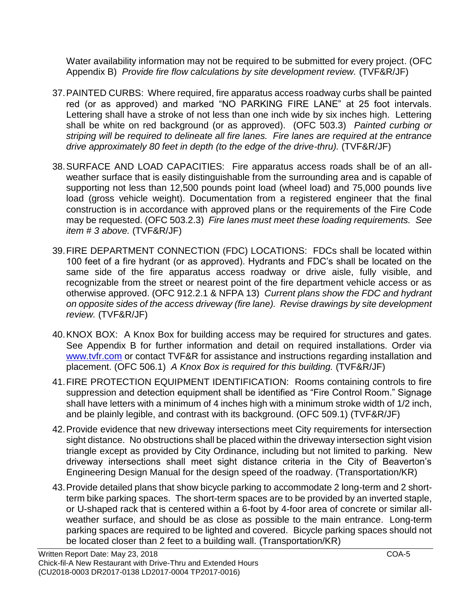Water availability information may not be required to be submitted for every project. (OFC Appendix B) *Provide fire flow calculations by site development review.* (TVF&R/JF)

- 37.PAINTED CURBS: Where required, fire apparatus access roadway curbs shall be painted red (or as approved) and marked "NO PARKING FIRE LANE" at 25 foot intervals. Lettering shall have a stroke of not less than one inch wide by six inches high. Lettering shall be white on red background (or as approved). (OFC 503.3) *Painted curbing or striping will be required to delineate all fire lanes. Fire lanes are required at the entrance drive approximately 80 feet in depth (to the edge of the drive-thru).* (TVF&R/JF)
- 38.SURFACE AND LOAD CAPACITIES: Fire apparatus access roads shall be of an allweather surface that is easily distinguishable from the surrounding area and is capable of supporting not less than 12,500 pounds point load (wheel load) and 75,000 pounds live load (gross vehicle weight). Documentation from a registered engineer that the final construction is in accordance with approved plans or the requirements of the Fire Code may be requested. (OFC 503.2.3) *Fire lanes must meet these loading requirements. See item # 3 above.* (TVF&R/JF)
- 39.FIRE DEPARTMENT CONNECTION (FDC) LOCATIONS: FDCs shall be located within 100 feet of a fire hydrant (or as approved). Hydrants and FDC's shall be located on the same side of the fire apparatus access roadway or drive aisle, fully visible, and recognizable from the street or nearest point of the fire department vehicle access or as otherwise approved. (OFC 912.2.1 & NFPA 13) *Current plans show the FDC and hydrant on opposite sides of the access driveway (fire lane). Revise drawings by site development review.* (TVF&R/JF)
- 40.KNOX BOX: A Knox Box for building access may be required for structures and gates. See Appendix B for further information and detail on required installations. Order via [www.tvfr.com](http://www.tvfr.com/) or contact TVF&R for assistance and instructions regarding installation and placement. (OFC 506.1) *A Knox Box is required for this building.* (TVF&R/JF)
- 41.FIRE PROTECTION EQUIPMENT IDENTIFICATION: Rooms containing controls to fire suppression and detection equipment shall be identified as "Fire Control Room." Signage shall have letters with a minimum of 4 inches high with a minimum stroke width of 1/2 inch, and be plainly legible, and contrast with its background. (OFC 509.1) (TVF&R/JF)
- 42.Provide evidence that new driveway intersections meet City requirements for intersection sight distance. No obstructions shall be placed within the driveway intersection sight vision triangle except as provided by City Ordinance, including but not limited to parking. New driveway intersections shall meet sight distance criteria in the City of Beaverton's Engineering Design Manual for the design speed of the roadway. (Transportation/KR)
- 43.Provide detailed plans that show bicycle parking to accommodate 2 long-term and 2 shortterm bike parking spaces. The short-term spaces are to be provided by an inverted staple, or U-shaped rack that is centered within a 6-foot by 4-foor area of concrete or similar allweather surface, and should be as close as possible to the main entrance. Long-term parking spaces are required to be lighted and covered. Bicycle parking spaces should not be located closer than 2 feet to a building wall. (Transportation/KR)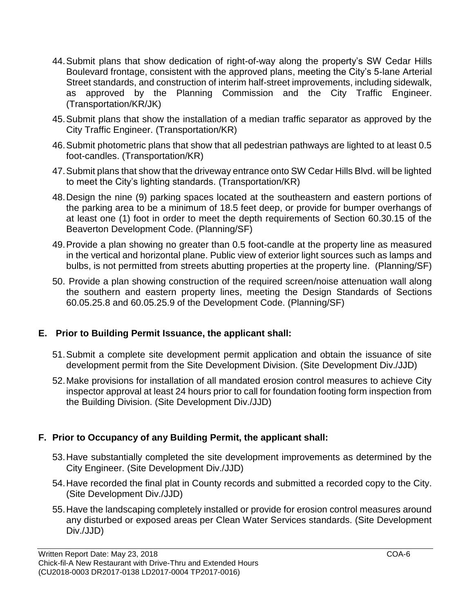- 44.Submit plans that show dedication of right-of-way along the property's SW Cedar Hills Boulevard frontage, consistent with the approved plans, meeting the City's 5-lane Arterial Street standards, and construction of interim half-street improvements, including sidewalk, as approved by the Planning Commission and the City Traffic Engineer. (Transportation/KR/JK)
- 45.Submit plans that show the installation of a median traffic separator as approved by the City Traffic Engineer. (Transportation/KR)
- 46.Submit photometric plans that show that all pedestrian pathways are lighted to at least 0.5 foot-candles. (Transportation/KR)
- 47.Submit plans that show that the driveway entrance onto SW Cedar Hills Blvd. will be lighted to meet the City's lighting standards. (Transportation/KR)
- 48.Design the nine (9) parking spaces located at the southeastern and eastern portions of the parking area to be a minimum of 18.5 feet deep, or provide for bumper overhangs of at least one (1) foot in order to meet the depth requirements of Section 60.30.15 of the Beaverton Development Code. (Planning/SF)
- 49.Provide a plan showing no greater than 0.5 foot-candle at the property line as measured in the vertical and horizontal plane. Public view of exterior light sources such as lamps and bulbs, is not permitted from streets abutting properties at the property line. (Planning/SF)
- 50. Provide a plan showing construction of the required screen/noise attenuation wall along the southern and eastern property lines, meeting the Design Standards of Sections 60.05.25.8 and 60.05.25.9 of the Development Code. (Planning/SF)

### **E. Prior to Building Permit Issuance, the applicant shall:**

- 51.Submit a complete site development permit application and obtain the issuance of site development permit from the Site Development Division. (Site Development Div./JJD)
- 52.Make provisions for installation of all mandated erosion control measures to achieve City inspector approval at least 24 hours prior to call for foundation footing form inspection from the Building Division. (Site Development Div./JJD)

# **F. Prior to Occupancy of any Building Permit, the applicant shall:**

- 53.Have substantially completed the site development improvements as determined by the City Engineer. (Site Development Div./JJD)
- 54.Have recorded the final plat in County records and submitted a recorded copy to the City. (Site Development Div./JJD)
- 55.Have the landscaping completely installed or provide for erosion control measures around any disturbed or exposed areas per Clean Water Services standards. (Site Development Div./JJD)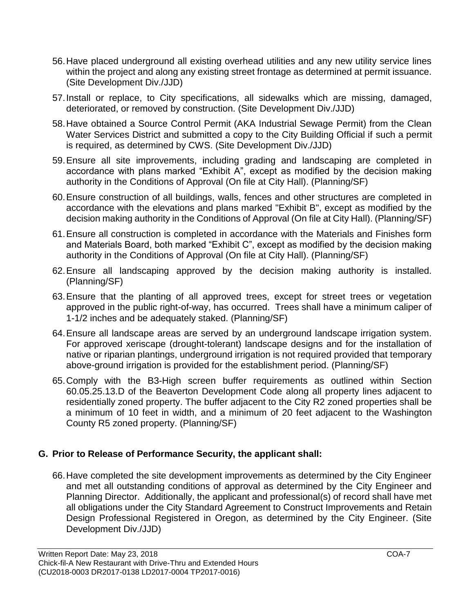- 56.Have placed underground all existing overhead utilities and any new utility service lines within the project and along any existing street frontage as determined at permit issuance. (Site Development Div./JJD)
- 57.Install or replace, to City specifications, all sidewalks which are missing, damaged, deteriorated, or removed by construction. (Site Development Div./JJD)
- 58.Have obtained a Source Control Permit (AKA Industrial Sewage Permit) from the Clean Water Services District and submitted a copy to the City Building Official if such a permit is required, as determined by CWS. (Site Development Div./JJD)
- 59.Ensure all site improvements, including grading and landscaping are completed in accordance with plans marked "Exhibit A", except as modified by the decision making authority in the Conditions of Approval (On file at City Hall). (Planning/SF)
- 60.Ensure construction of all buildings, walls, fences and other structures are completed in accordance with the elevations and plans marked "Exhibit B", except as modified by the decision making authority in the Conditions of Approval (On file at City Hall). (Planning/SF)
- 61.Ensure all construction is completed in accordance with the Materials and Finishes form and Materials Board, both marked "Exhibit C", except as modified by the decision making authority in the Conditions of Approval (On file at City Hall). (Planning/SF)
- 62.Ensure all landscaping approved by the decision making authority is installed. (Planning/SF)
- 63.Ensure that the planting of all approved trees, except for street trees or vegetation approved in the public right-of-way, has occurred. Trees shall have a minimum caliper of 1-1/2 inches and be adequately staked. (Planning/SF)
- 64.Ensure all landscape areas are served by an underground landscape irrigation system. For approved xeriscape (drought-tolerant) landscape designs and for the installation of native or riparian plantings, underground irrigation is not required provided that temporary above-ground irrigation is provided for the establishment period. (Planning/SF)
- 65.Comply with the B3-High screen buffer requirements as outlined within Section 60.05.25.13.D of the Beaverton Development Code along all property lines adjacent to residentially zoned property. The buffer adjacent to the City R2 zoned properties shall be a minimum of 10 feet in width, and a minimum of 20 feet adjacent to the Washington County R5 zoned property. (Planning/SF)

# **G. Prior to Release of Performance Security, the applicant shall:**

66.Have completed the site development improvements as determined by the City Engineer and met all outstanding conditions of approval as determined by the City Engineer and Planning Director. Additionally, the applicant and professional(s) of record shall have met all obligations under the City Standard Agreement to Construct Improvements and Retain Design Professional Registered in Oregon, as determined by the City Engineer. (Site Development Div./JJD)